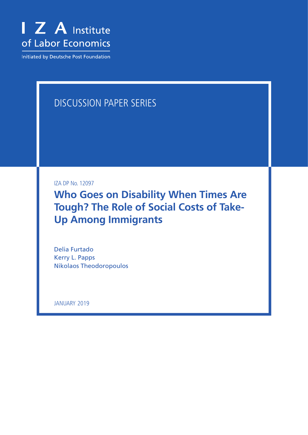

**Initiated by Deutsche Post Foundation** 

# DISCUSSION PAPER SERIES

IZA DP No. 12097

**Who Goes on Disability When Times Are Tough? The Role of Social Costs of Take-Up Among Immigrants**

Delia Furtado Kerry L. Papps Nikolaos Theodoropoulos

JANUARY 2019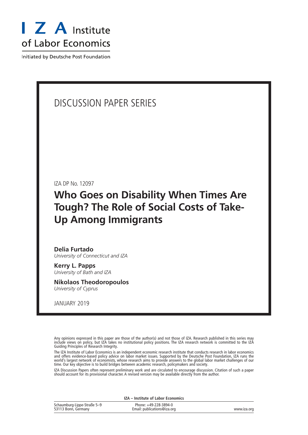

Initiated by Deutsche Post Foundation

# DISCUSSION PAPER SERIES

IZA DP No. 12097

# **Who Goes on Disability When Times Are Tough? The Role of Social Costs of Take-Up Among Immigrants**

**Delia Furtado** *University of Connecticut and IZA*

**Kerry L. Papps** *University of Bath and IZA*

**Nikolaos Theodoropoulos** *University of Cyprus*

JANUARY 2019

Any opinions expressed in this paper are those of the author(s) and not those of IZA. Research published in this series may include views on policy, but IZA takes no institutional policy positions. The IZA research network is committed to the IZA Guiding Principles of Research Integrity.

The IZA Institute of Labor Economics is an independent economic research institute that conducts research in labor economics and offers evidence-based policy advice on labor market issues. Supported by the Deutsche Post Foundation, IZA runs the world's largest network of economists, whose research aims to provide answers to the global labor market challenges of our time. Our key objective is to build bridges between academic research, policymakers and society.

IZA Discussion Papers often represent preliminary work and are circulated to encourage discussion. Citation of such a paper should account for its provisional character. A revised version may be available directly from the author.

|                                                    | IZA – Institute of Labor Economics                   |             |
|----------------------------------------------------|------------------------------------------------------|-------------|
| Schaumburg-Lippe-Straße 5-9<br>53113 Bonn, Germany | Phone: +49-228-3894-0<br>Email: publications@iza.org | www.iza.org |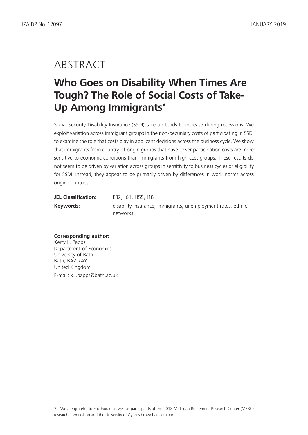# ABSTRACT

# **Who Goes on Disability When Times Are Tough? The Role of Social Costs of Take-Up Among Immigrants\***

Social Security Disability Insurance (SSDI) take-up tends to increase during recessions. We exploit variation across immigrant groups in the non-pecuniary costs of participating in SSDI to examine the role that costs play in applicant decisions across the business cycle. We show that immigrants from country-of-origin groups that have lower participation costs are more sensitive to economic conditions than immigrants from high cost groups. These results do not seem to be driven by variation across groups in sensitivity to business cycles or eligibility for SSDI. Instead, they appear to be primarily driven by differences in work norms across origin countries.

| <b>JEL Classification:</b> | E32, J61, H55, I18                                           |
|----------------------------|--------------------------------------------------------------|
| Keywords:                  | disability insurance, immigrants, unemployment rates, ethnic |
|                            | networks                                                     |

# **Corresponding author:** Kerry L. Papps Department of Economics University of Bath Bath, BA2 7AY United Kingdom

E-mail: k.l.papps@bath.ac.uk

<sup>\*</sup> We are grateful to Eric Gould as well as participants at the 2018 Michigan Retirement Research Center (MRRC) researcher workshop and the University of Cyprus brownbag seminar.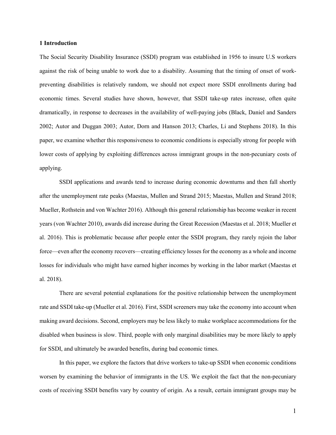### **1 Introduction**

The Social Security Disability Insurance (SSDI) program was established in 1956 to insure U.S workers against the risk of being unable to work due to a disability. Assuming that the timing of onset of workpreventing disabilities is relatively random, we should not expect more SSDI enrollments during bad economic times. Several studies have shown, however, that SSDI take-up rates increase, often quite dramatically, in response to decreases in the availability of well-paying jobs (Black, Daniel and Sanders 2002; Autor and Duggan 2003; Autor, Dorn and Hanson 2013; Charles, Li and Stephens 2018). In this paper, we examine whether this responsiveness to economic conditions is especially strong for people with lower costs of applying by exploiting differences across immigrant groups in the non-pecuniary costs of applying.

SSDI applications and awards tend to increase during economic downturns and then fall shortly after the unemployment rate peaks (Maestas, Mullen and Strand 2015; Maestas, Mullen and Strand 2018; Mueller, Rothstein and von Wachter 2016). Although this general relationship has become weaker in recent years (von Wachter 2010), awards did increase during the Great Recession (Maestas et al. 2018; Mueller et al. 2016). This is problematic because after people enter the SSDI program, they rarely rejoin the labor force—even after the economy recovers—creating efficiency losses for the economy as a whole and income losses for individuals who might have earned higher incomes by working in the labor market (Maestas et al. 2018).

There are several potential explanations for the positive relationship between the unemployment rate and SSDI take-up (Mueller et al. 2016). First, SSDI screeners may take the economy into account when making award decisions. Second, employers may be less likely to make workplace accommodations for the disabled when business is slow. Third, people with only marginal disabilities may be more likely to apply for SSDI, and ultimately be awarded benefits, during bad economic times.

In this paper, we explore the factors that drive workers to take-up SSDI when economic conditions worsen by examining the behavior of immigrants in the US. We exploit the fact that the non-pecuniary costs of receiving SSDI benefits vary by country of origin. As a result, certain immigrant groups may be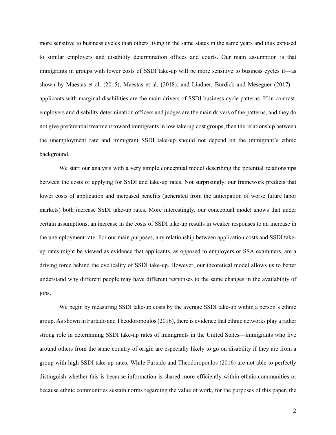more sensitive to business cycles than others living in the same states in the same years and thus exposed to similar employers and disability determination offices and courts. Our main assumption is that immigrants in groups with lower costs of SSDI take-up will be more sensitive to business cycles if—as shown by Maestas et al. (2015), Maestas et al. (2018), and Lindner, Burdick and Meseguer (2017) applicants with marginal disabilities are the main drivers of SSDI business cycle patterns. If in contrast, employers and disability determination officers and judges are the main drivers of the patterns, and they do not give preferential treatment toward immigrants in low take-up cost groups, then the relationship between the unemployment rate and immigrant SSDI take-up should not depend on the immigrant's ethnic background.

We start our analysis with a very simple conceptual model describing the potential relationships between the costs of applying for SSDI and take-up rates. Not surprisingly, our framework predicts that lower costs of application and increased benefits (generated from the anticipation of worse future labor markets) both increase SSDI take-up rates. More interestingly, our conceptual model shows that under certain assumptions, an increase in the costs of SSDI take-up results in weaker responses to an increase in the unemployment rate. For our main purposes, any relationship between application costs and SSDI takeup rates might be viewed as evidence that applicants, as opposed to employers or SSA examiners, are a driving force behind the cyclicality of SSDI take-up. However, our theoretical model allows us to better understand why different people may have different responses to the same changes in the availability of jobs.

We begin by measuring SSDI take-up costs by the average SSDI take-up within a person's ethnic group. As shown in Furtado and Theodoropoulos (2016), there is evidence that ethnic networks play a rather strong role in determining SSDI take-up rates of immigrants in the United States—immigrants who live around others from the same country of origin are especially likely to go on disability if they are from a group with high SSDI take-up rates. While Furtado and Theodoropoulos (2016) are not able to perfectly distinguish whether this is because information is shared more efficiently within ethnic communities or because ethnic communities sustain norms regarding the value of work, for the purposes of this paper, the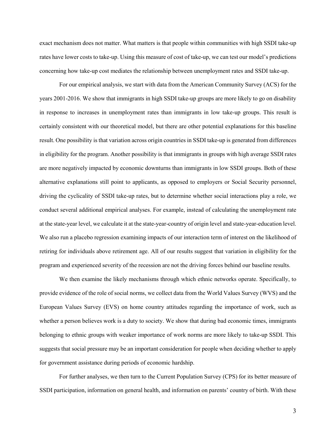exact mechanism does not matter. What matters is that people within communities with high SSDI take-up rates have lower costs to take-up. Using this measure of cost of take-up, we can test our model's predictions concerning how take-up cost mediates the relationship between unemployment rates and SSDI take-up.

For our empirical analysis, we start with data from the American Community Survey (ACS) for the years 2001-2016. We show that immigrants in high SSDI take-up groups are more likely to go on disability in response to increases in unemployment rates than immigrants in low take-up groups. This result is certainly consistent with our theoretical model, but there are other potential explanations for this baseline result. One possibility is that variation across origin countries in SSDI take-up is generated from differences in eligibility for the program. Another possibility is that immigrants in groups with high average SSDI rates are more negatively impacted by economic downturns than immigrants in low SSDI groups. Both of these alternative explanations still point to applicants, as opposed to employers or Social Security personnel, driving the cyclicality of SSDI take-up rates, but to determine whether social interactions play a role, we conduct several additional empirical analyses. For example, instead of calculating the unemployment rate at the state-year level, we calculate it at the state-year-country of origin level and state-year-education level. We also run a placebo regression examining impacts of our interaction term of interest on the likelihood of retiring for individuals above retirement age. All of our results suggest that variation in eligibility for the program and experienced severity of the recession are not the driving forces behind our baseline results.

We then examine the likely mechanisms through which ethnic networks operate. Specifically, to provide evidence of the role of social norms, we collect data from the World Values Survey (WVS) and the European Values Survey (EVS) on home country attitudes regarding the importance of work, such as whether a person believes work is a duty to society. We show that during bad economic times, immigrants belonging to ethnic groups with weaker importance of work norms are more likely to take-up SSDI. This suggests that social pressure may be an important consideration for people when deciding whether to apply for government assistance during periods of economic hardship.

For further analyses, we then turn to the Current Population Survey (CPS) for its better measure of SSDI participation, information on general health, and information on parents' country of birth. With these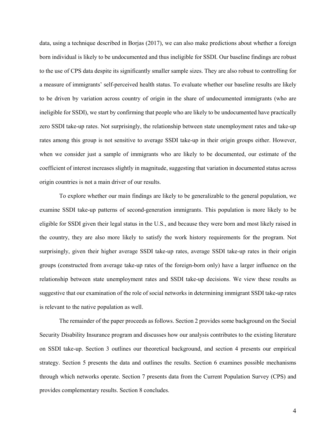data, using a technique described in Borjas (2017), we can also make predictions about whether a foreign born individual is likely to be undocumented and thus ineligible for SSDI. Our baseline findings are robust to the use of CPS data despite its significantly smaller sample sizes. They are also robust to controlling for a measure of immigrants' self-perceived health status. To evaluate whether our baseline results are likely to be driven by variation across country of origin in the share of undocumented immigrants (who are ineligible for SSDI), we start by confirming that people who are likely to be undocumented have practically zero SSDI take-up rates. Not surprisingly, the relationship between state unemployment rates and take-up rates among this group is not sensitive to average SSDI take-up in their origin groups either. However, when we consider just a sample of immigrants who are likely to be documented, our estimate of the coefficient of interest increases slightly in magnitude, suggesting that variation in documented status across origin countries is not a main driver of our results.

To explore whether our main findings are likely to be generalizable to the general population, we examine SSDI take-up patterns of second-generation immigrants. This population is more likely to be eligible for SSDI given their legal status in the U.S., and because they were born and most likely raised in the country, they are also more likely to satisfy the work history requirements for the program. Not surprisingly, given their higher average SSDI take-up rates, average SSDI take-up rates in their origin groups (constructed from average take-up rates of the foreign-born only) have a larger influence on the relationship between state unemployment rates and SSDI take-up decisions. We view these results as suggestive that our examination of the role of social networks in determining immigrant SSDI take-up rates is relevant to the native population as well.

The remainder of the paper proceeds as follows. Section 2 provides some background on the Social Security Disability Insurance program and discusses how our analysis contributes to the existing literature on SSDI take-up. Section 3 outlines our theoretical background, and section 4 presents our empirical strategy. Section 5 presents the data and outlines the results. Section 6 examines possible mechanisms through which networks operate. Section 7 presents data from the Current Population Survey (CPS) and provides complementary results. Section 8 concludes.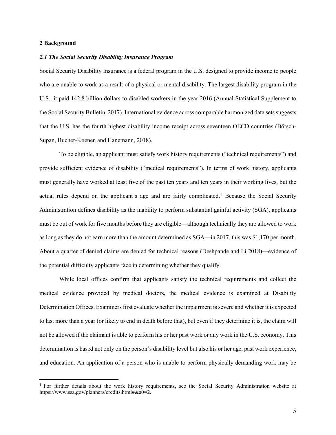### **2 Background**

### *2.1 The Social Security Disability Insurance Program*

Social Security Disability Insurance is a federal program in the U.S. designed to provide income to people who are unable to work as a result of a physical or mental disability. The largest disability program in the U.S., it paid 142.8 billion dollars to disabled workers in the year 2016 (Annual Statistical Supplement to the Social Security Bulletin, 2017). International evidence across comparable harmonized data sets suggests that the U.S. has the fourth highest disability income receipt across seventeen OECD countries (Börsch-Supan, Bucher-Koenen and Hanemann, 2018).

To be eligible, an applicant must satisfy work history requirements ("technical requirements") and provide sufficient evidence of disability ("medical requirements"). In terms of work history, applicants must generally have worked at least five of the past ten years and ten years in their working lives, but the actual rules depend on the applicant's age and are fairly complicated. [1](#page-7-0) Because the Social Security Administration defines disability as the inability to perform substantial gainful activity (SGA), applicants must be out of work for five months before they are eligible—although technically they are allowed to work as long as they do not earn more than the amount determined as SGA—in 2017, this was \$1,170 per month. About a quarter of denied claims are denied for technical reasons (Deshpande and Li 2018)—evidence of the potential difficulty applicants face in determining whether they qualify.

While local offices confirm that applicants satisfy the technical requirements and collect the medical evidence provided by medical doctors, the medical evidence is examined at Disability Determination Offices. Examiners first evaluate whether the impairment is severe and whether it is expected to last more than a year (or likely to end in death before that), but even if they determine it is, the claim will not be allowed if the claimant is able to perform his or her past work or any work in the U.S. economy. This determination is based not only on the person's disability level but also his or her age, past work experience, and education. An application of a person who is unable to perform physically demanding work may be

<span id="page-7-0"></span><sup>&</sup>lt;sup>1</sup> For further details about the work history requirements, see the Social Security Administration website at https://www.ssa.gov/planners/credits.html#&a0=2.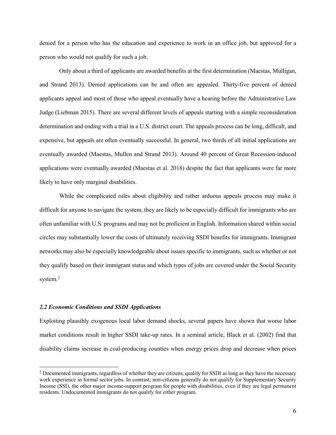denied for a person who has the education and experience to work in an office job, but approved for a person who would not qualify for such a job.

Only about a third of applicants are awarded benefits at the first determination (Maestas, Mulligan, and Strand 2013). Denied applications can be and often are appealed. Thirty-five percent of denied applicants appeal and most of those who appeal eventually have a hearing before the Administrative Law Judge (Liebman 2015). There are several different levels of appeals starting with a simple reconsideration determination and ending with a trial in a U.S. district court. The appeals process can be long, difficult, and expensive, but appeals are often eventually successful. In general, two thirds of all initial applications are eventually awarded (Maestas, Mullen and Strand 2013). Around 40 percent of Great Recession-induced applications were eventually awarded (Maestas et al. 2018) despite the fact that applicants were far more likely to have only marginal disabilities.

While the complicated rules about eligibility and rather arduous appeals process may make it difficult for anyone to navigate the system, they are likely to be especially difficult for immigrants who are often unfamiliar with U.S. programs and may not be proficient in English. Information shared within social circles may substantially lower the costs of ultimately receiving SSDI benefits for immigrants. Immigrant networks may also be especially knowledgeable about issues specific to immigrants, such as whether or not they qualify based on their immigrant status and which types of jobs are covered under the Social Security system.<sup>[2](#page-8-0)</sup>

#### *2.2 Economic Conditions and SSDI Applications*

Exploiting plausibly exogenous local labor demand shocks, several papers have shown that worse labor market conditions result in higher SSDI take-up rates. In a seminal article, Black et al. (2002) find that disability claims increase in coal-producing counties when energy prices drop and decrease when prices

<span id="page-8-0"></span><sup>&</sup>lt;sup>2</sup> Documented immigrants, regardless of whether they are citizens, qualify for SSDI as long as they have the necessary work experience in formal sector jobs. In contrast, non-citizens generally do not qualify for Supplementary Security Income (SSI), the other major income-support program for people with disabilities, even if they are legal permanent residents. Undocumented immigrants do not qualify for either program.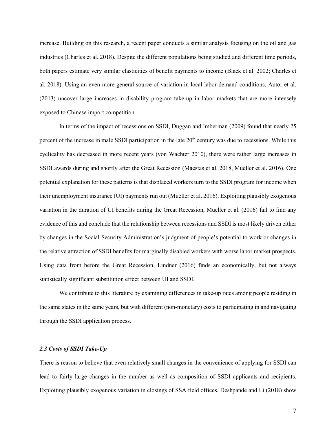increase. Building on this research, a recent paper conducts a similar analysis focusing on the oil and gas industries (Charles et al. 2018). Despite the different populations being studied and different time periods, both papers estimate very similar elasticities of benefit payments to income (Black et al. 2002; Charles et al. 2018). Using an even more general source of variation in local labor demand conditions, Autor et al. (2013) uncover large increases in disability program take-up in labor markets that are more intensely exposed to Chinese import competition.

In terms of the impact of recessions on SSDI, Duggan and Imberman (2009) found that nearly 25 percent of the increase in male SSDI participation in the late  $20<sup>th</sup>$  century was due to recessions. While this cyclicality has decreased in more recent years (von Wachter 2010), there were rather large increases in SSDI awards during and shortly after the Great Recession (Maestas et al. 2018, Mueller et al. 2016). One potential explanation for these patterns is that displaced workers turn to the SSDI program for income when their unemployment insurance (UI) payments run out (Mueller et al. 2016). Exploiting plausibly exogenous variation in the duration of UI benefits during the Great Recession, Mueller et al. (2016) fail to find any evidence of this and conclude that the relationship between recessions and SSDI is most likely driven either by changes in the Social Security Administration's judgment of people's potential to work or changes in the relative attraction of SSDI benefits for marginally disabled workers with worse labor market prospects. Using data from before the Great Recession, Lindner (2016) finds an economically, but not always statistically significant substitution effect between UI and SSDI.

We contribute to this literature by examining differences in take-up rates among people residing in the same states in the same years, but with different (non-monetary) costs to participating in and navigating through the SSDI application process.

# *2.3 Costs of SSDI Take-Up*

There is reason to believe that even relatively small changes in the convenience of applying for SSDI can lead to fairly large changes in the number as well as composition of SSDI applicants and recipients. Exploiting plausibly exogenous variation in closings of SSA field offices, Deshpande and Li (2018) show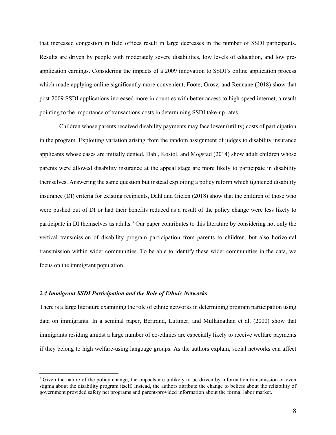that increased congestion in field offices result in large decreases in the number of SSDI participants. Results are driven by people with moderately severe disabilities, low levels of education, and low preapplication earnings. Considering the impacts of a 2009 innovation to SSDI's online application process which made applying online significantly more convenient, Foote, Grosz, and Rennane (2018) show that post-2009 SSDI applications increased more in counties with better access to high-speed internet, a result pointing to the importance of transactions costs in determining SSDI take-up rates.

Children whose parents received disability payments may face lower (utility) costs of participation in the program. Exploiting variation arising from the random assignment of judges to disability insurance applicants whose cases are initially denied, Dahl, Kostøl, and Mogstad (2014) show adult children whose parents were allowed disability insurance at the appeal stage are more likely to participate in disability themselves. Answering the same question but instead exploiting a policy reform which tightened disability insurance (DI) criteria for existing recipients, Dahl and Gielen (2018) show that the children of those who were pushed out of DI or had their benefits reduced as a result of the policy change were less likely to participate in DI themselves as adults.<sup>[3](#page-10-0)</sup> Our paper contributes to this literature by considering not only the vertical transmission of disability program participation from parents to children, but also horizontal transmission within wider communities. To be able to identify these wider communities in the data, we focus on the immigrant population.

# *2.4 Immigrant SSDI Participation and the Role of Ethnic Networks*

There is a large literature examining the role of ethnic networks in determining program participation using data on immigrants. In a seminal paper, Bertrand, Luttmer, and Mullainathan et al. (2000) show that immigrants residing amidst a large number of co-ethnics are especially likely to receive welfare payments if they belong to high welfare-using language groups. As the authors explain, social networks can affect

<span id="page-10-0"></span><sup>&</sup>lt;sup>3</sup> Given the nature of the policy change, the impacts are unlikely to be driven by information transmission or even stigma about the disability program itself. Instead, the authors attribute the change to beliefs about the reliability of government provided safety net programs and parent-provided information about the formal labor market.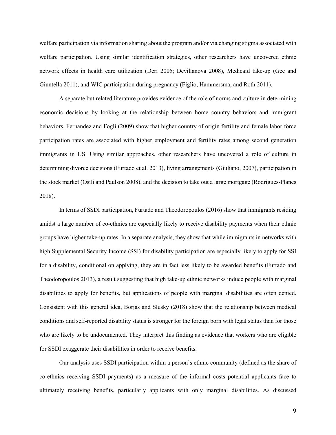welfare participation via information sharing about the program and/or via changing stigma associated with welfare participation. Using similar identification strategies, other researchers have uncovered ethnic network effects in health care utilization (Deri 2005; Devillanova 2008), Medicaid take-up (Gee and Giuntella 2011), and WIC participation during pregnancy (Figlio, Hammersma, and Roth 2011).

A separate but related literature provides evidence of the role of norms and culture in determining economic decisions by looking at the relationship between home country behaviors and immigrant behaviors. Fernandez and Fogli (2009) show that higher country of origin fertility and female labor force participation rates are associated with higher employment and fertility rates among second generation immigrants in US. Using similar approaches, other researchers have uncovered a role of culture in determining divorce decisions (Furtado et al. 2013), living arrangements (Giuliano, 2007), participation in the stock market (Osili and Paulson 2008), and the decision to take out a large mortgage (Rodrigues-Planes 2018).

In terms of SSDI participation, Furtado and Theodoropoulos (2016) show that immigrants residing amidst a large number of co-ethnics are especially likely to receive disability payments when their ethnic groups have higher take-up rates. In a separate analysis, they show that while immigrants in networks with high Supplemental Security Income (SSI) for disability participation are especially likely to apply for SSI for a disability, conditional on applying, they are in fact less likely to be awarded benefits (Furtado and Theodoropoulos 2013), a result suggesting that high take-up ethnic networks induce people with marginal disabilities to apply for benefits, but applications of people with marginal disabilities are often denied. Consistent with this general idea, Borjas and Slusky (2018) show that the relationship between medical conditions and self-reported disability status is stronger for the foreign born with legal status than for those who are likely to be undocumented. They interpret this finding as evidence that workers who are eligible for SSDI exaggerate their disabilities in order to receive benefits.

Our analysis uses SSDI participation within a person's ethnic community (defined as the share of co-ethnics receiving SSDI payments) as a measure of the informal costs potential applicants face to ultimately receiving benefits, particularly applicants with only marginal disabilities. As discussed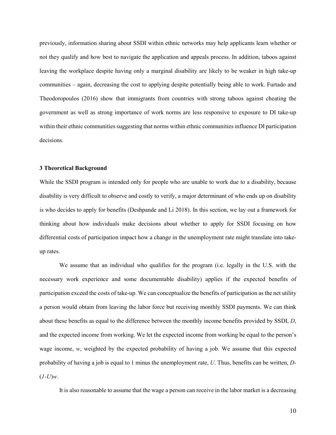previously, information sharing about SSDI within ethnic networks may help applicants learn whether or not they qualify and how best to navigate the application and appeals process. In addition, taboos against leaving the workplace despite having only a marginal disability are likely to be weaker in high take-up communities – again, decreasing the cost to applying despite potentially being able to work. Furtado and Theodoropoulos (2016) show that immigrants from countries with strong taboos against cheating the government as well as strong importance of work norms are less responsive to exposure to DI take-up within their ethnic communities suggesting that norms within ethnic communities influence DI participation decisions.

### **3 Theoretical Background**

While the SSDI program is intended only for people who are unable to work due to a disability, because disability is very difficult to observe and costly to verify, a major determinant of who ends up on disability is who decides to apply for benefits (Deshpande and Li 2018). In this section, we lay out a framework for thinking about how individuals make decisions about whether to apply for SSDI focusing on how differential costs of participation impact how a change in the unemployment rate might translate into takeup rates.

We assume that an individual who qualifies for the program (i.e. legally in the U.S. with the necessary work experience and some documentable disability) applies if the expected benefits of participation exceed the costs of take-up. We can conceptualize the benefits of participation as the net utility a person would obtain from leaving the labor force but receiving monthly SSDI payments. We can think about these benefits as equal to the difference between the monthly income benefits provided by SSDI, *D*, and the expected income from working. We let the expected income from working be equal to the person's wage income, *w*, weighted by the expected probability of having a job. We assume that this expected probability of having a job is equal to 1 minus the unemployment rate, *U*. Thus, benefits can be written, *D-*  $(I-U)w$ .

It is also reasonable to assume that the wage a person can receive in the labor market is a decreasing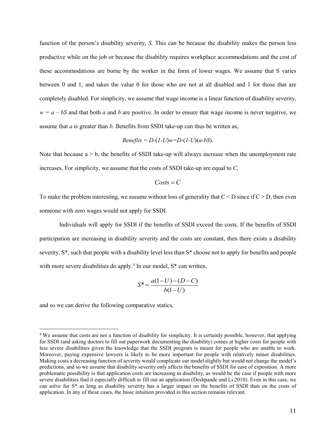function of the person's disability severity, *S.* This can be because the disability makes the person less productive while on the job or because the disability requires workplace accommodations and the cost of these accommodations are borne by the worker in the form of lower wages. We assume that S varies between 0 and 1, and takes the value 0 for those who are not at all disabled and 1 for those that are completely disabled. For simplicity, we assume that wage income is a linear function of disability severity,  $w = a - bS$  and that both *a* and *b* are positive. In order to ensure that wage income is never negative, we assume that *a* is greater than *b*. Benefits from SSDI take-up can thus be written as,

$$
Benefts = D-(I-U)w=D-(I-U)(a-bS).
$$

Note that because  $a > b$ , the benefits of SSDI take-up will always increase when the unemployment rate increases. For simplicity, we assume that the costs of SSDI take-up are equal to *C*,

$$
Costs = C
$$

To make the problem interesting, we assume without loss of generality that  $C < D$  since if  $C > D$ , then even someone with zero wages would not apply for SSDI.

Individuals will apply for SSDI if the benefits of SSDI exceed the costs. If the benefits of SSDI participation are increasing in disability severity and the costs are constant, then there exists a disability severity, S\*, such that people with a disability level less than S\* choose not to apply for benefits and people with more severe disabilities do apply.<sup>[4](#page-13-0)</sup> In our model,  $S^*$  can written,

$$
S^* = \frac{a(1-U) - (D-C)}{b(1-U)}
$$

and so we can derive the following comparative statics,

<span id="page-13-0"></span><sup>&</sup>lt;sup>4</sup> We assume that costs are not a function of disability for simplicity. It is certainly possible, however, that applying for SSDI (and asking doctors to fill out paperwork documenting the disability) comes at higher costs for people with less severe disabilities given the knowledge that the SSDI program is meant for people who are unable to work. Moreover, paying expensive lawyers is likely to be more important for people with relatively minor disabilities. Making costs a decreasing function of severity would complicate our model slightly but would not change the model's predictions, and so we assume that disability severity only affects the benefits of SSDI for ease of exposition. A more problematic possibility is that application costs are increasing in disability, as would be the case if people with more severe disabilities find it especially difficult to fill out an application (Deshpande and Li 2018). Even in this case, we can solve for S\* as long as disability severity has a larger impact on the benefits of SSDI than on the costs of application. In any of these cases, the basic intuition provided in this section remains relevant.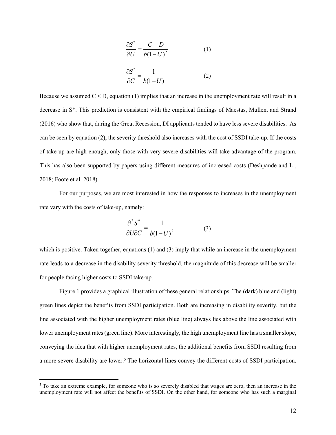$$
\frac{\partial S^*}{\partial U} = \frac{C - D}{b(1 - U)^2} \tag{1}
$$

$$
\frac{\partial S^*}{\partial C} = \frac{1}{b(1-U)}\tag{2}
$$

Because we assumed  $C < D$ , equation (1) implies that an increase in the unemployment rate will result in a decrease in S\*. This prediction is consistent with the empirical findings of Maestas, Mullen, and Strand (2016) who show that, during the Great Recession, DI applicants tended to have less severe disabilities. As can be seen by equation (2), the severity threshold also increases with the cost of SSDI take-up. If the costs of take-up are high enough, only those with very severe disabilities will take advantage of the program. This has also been supported by papers using different measures of increased costs (Deshpande and Li, 2018; Foote et al. 2018).

For our purposes, we are most interested in how the responses to increases in the unemployment rate vary with the costs of take-up, namely:

$$
\frac{\partial^2 S^*}{\partial U \partial C} = \frac{1}{b(1 - U)^2}
$$
(3)

which is positive. Taken together, equations (1) and (3) imply that while an increase in the unemployment rate leads to a decrease in the disability severity threshold, the magnitude of this decrease will be smaller for people facing higher costs to SSDI take-up.

Figure 1 provides a graphical illustration of these general relationships. The (dark) blue and (light) green lines depict the benefits from SSDI participation. Both are increasing in disability severity, but the line associated with the higher unemployment rates (blue line) always lies above the line associated with lower unemployment rates (green line). More interestingly, the high unemployment line has a smaller slope, conveying the idea that with higher unemployment rates, the additional benefits from SSDI resulting from a more severe disability are lower.<sup>[5](#page-14-0)</sup> The horizontal lines convey the different costs of SSDI participation.

<span id="page-14-0"></span> $<sup>5</sup>$  To take an extreme example, for someone who is so severely disabled that wages are zero, then an increase in the</sup> unemployment rate will not affect the benefits of SSDI. On the other hand, for someone who has such a marginal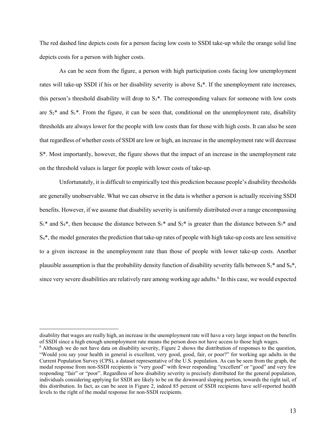The red dashed line depicts costs for a person facing low costs to SSDI take-up while the orange solid line depicts costs for a person with higher costs.

As can be seen from the figure, a person with high participation costs facing low unemployment rates will take-up SSDI if his or her disability severity is above  $S_4^*$ . If the unemployment rate increases, this person's threshold disability will drop to  $S_3^*$ . The corresponding values for someone with low costs are  $S_2^*$  and  $S_1^*$ . From the figure, it can be seen that, conditional on the unemployment rate, disability thresholds are always lower for the people with low costs than for those with high costs. It can also be seen that regardless of whether costs of SSDI are low or high, an increase in the unemployment rate will decrease S\*. Most importantly, however, the figure shows that the impact of an increase in the unemployment rate on the threshold values is larger for people with lower costs of take-up.

Unfortunately, it is difficult to empirically test this prediction because people's disability thresholds are generally unobservable. What we can observe in the data is whether a person is actually receiving SSDI benefits. However, if we assume that disability severity is uniformly distributed over a range encompassing  $S_1^*$  and  $S_4^*$ , then because the distance between  $S_1^*$  and  $S_2^*$  is greater than the distance between  $S_3^*$  and  $S<sub>4</sub>$ <sup>\*</sup>, the model generates the prediction that take-up rates of people with high take-up costs are less sensitive to a given increase in the unemployment rate than those of people with lower take-up costs. Another plausible assumption is that the probability density function of disability severity falls between  $S_1^*$  and  $S_4^*$ , since very severe disabilities are relatively rare among working age adults.<sup>[6](#page-15-0)</sup> In this case, we would expected

 $\overline{a}$ 

disability that wages are really high, an increase in the unemployment rate will have a very large impact on the benefits of SSDI since a high enough unemployment rate means the person does not have access to those high wa

<span id="page-15-0"></span> $\delta$  Although we do not have data on disability severity. Figure 2 shows the distribution of responses to the question, "Would you say your health in general is excellent, very good, good, fair, or poor?" for working age adults in the Current Population Survey (CPS), a dataset representative of the U.S. population. As can be seen from the graph, the modal response from non-SSDI recipients is "very good" with fewer responding "excellent" or "good" and very few responding "fair" or "poor". Regardless of how disability severity is precisely distributed for the general population, individuals considering applying for SSDI are likely to be on the downward sloping portion, towards the right tail, of this distribution. In fact, as can be seen in Figure 2, indeed 85 percent of SSDI recipients have self-reported health levels to the right of the modal response for non-SSDI recipients.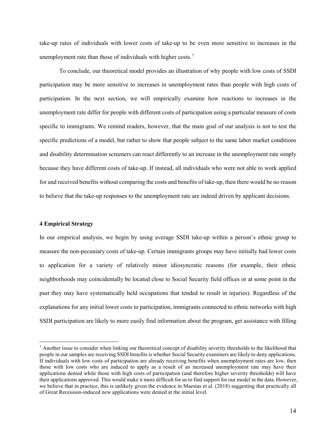take-up rates of individuals with lower costs of take-up to be even more sensitive to increases in the unemployment rate than those of individuals with higher costs.<sup>[7](#page-16-0)</sup>

To conclude, our theoretical model provides an illustration of why people with low costs of SSDI participation may be more sensitive to increases in unemployment rates than people with high costs of participation. In the next section, we will empirically examine how reactions to increases in the unemployment rate differ for people with different costs of participation using a particular measure of costs specific to immigrants. We remind readers, however, that the main goal of our analysis is not to test the specific predictions of a model, but rather to show that people subject to the same labor market conditions and disability determination screeners can react differently to an increase in the unemployment rate simply because they have different costs of take-up. If instead, all individuals who were not able to work applied for and received benefits without comparing the costs and benefits of take-up, then there would be no reason to believe that the take-up responses to the unemployment rate are indeed driven by applicant decisions.

# **4 Empirical Strategy**

In our empirical analysis, we begin by using average SSDI take-up within a person's ethnic group to measure the non-pecuniary costs of take-up. Certain immigrants groups may have initially had lower costs to application for a variety of relatively minor idiosyncratic reasons (for example, their ethnic neighborhoods may coincidentally be located close to Social Security field offices or at some point in the past they may have systematically held occupations that tended to result in injuries). Regardless of the explanations for any initial lower costs to participation, immigrants connected to ethnic networks with high SSDI participation are likely to more easily find information about the program, get assistance with filling

<span id="page-16-0"></span> $<sup>7</sup>$  Another issue to consider when linking our theoretical concept of disability severity thresholds to the likelihood that</sup> people in our samples are receiving SSDI benefits is whether Social Security examiners are likely to deny applications. If individuals with low costs of participation are already receiving benefits when unemployment rates are low, then those with low costs who are induced to apply as a result of an increased unemployment rate may have their applications denied while those with high costs of participation (and therefore higher severity thresholds) will have their applications approved. This would make it more difficult for us to find support for our model in the data. However, we believe that in practice, this is unlikely given the evidence in Maestas et al. (2018) suggesting that practically all of Great Recession-induced new applications were denied at the initial level.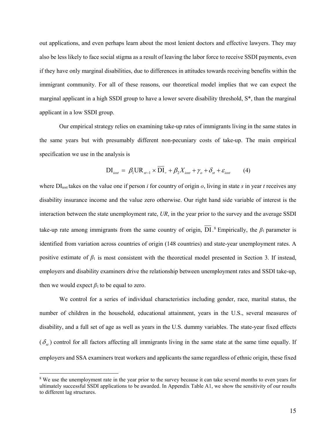out applications, and even perhaps learn about the most lenient doctors and effective lawyers. They may also be less likely to face social stigma as a result of leaving the labor force to receive SSDI payments, even if they have only marginal disabilities, due to differences in attitudes towards receiving benefits within the immigrant community. For all of these reasons, our theoretical model implies that we can expect the marginal applicant in a high SSDI group to have a lower severe disability threshold, S\*, than the marginal applicant in a low SSDI group.

Our empirical strategy relies on examining take-up rates of immigrants living in the same states in the same years but with presumably different non-pecuniary costs of take-up. The main empirical specification we use in the analysis is

$$
\text{DI}_{i\text{ost}} = \beta_1 \text{UR}_{st-1} \times \text{DI}_{\circ} + \beta_2 X_{i\text{ost}} + \gamma_{\circ} + \delta_{st} + \varepsilon_{i\text{ost}} \tag{4}
$$

where  $DI_{\text{lost}}$  takes on the value one if person *i* for country of origin *o*, living in state *s* in year *t* receives any disability insurance income and the value zero otherwise. Our right hand side variable of interest is the interaction between the state unemployment rate, *UR*, in the year prior to the survey and the average SSDI take-up rate among immigrants from the same country of origin, DI.<sup>[8](#page-17-0)</sup> Empirically, the  $\beta_1$  parameter is identified from variation across countries of origin (148 countries) and state-year unemployment rates. A positive estimate of  $\beta_1$  is most consistent with the theoretical model presented in Section 3. If instead, employers and disability examiners drive the relationship between unemployment rates and SSDI take-up, then we would expect  $\beta_1$  to be equal to zero.

We control for a series of individual characteristics including gender, race, marital status, the number of children in the household, educational attainment, years in the U.S., several measures of disability, and a full set of age as well as years in the U.S. dummy variables. The state-year fixed effects  $(\delta_{\alpha})$  control for all factors affecting all immigrants living in the same state at the same time equally. If employers and SSA examiners treat workers and applicants the same regardless of ethnic origin, these fixed

<span id="page-17-0"></span><sup>&</sup>lt;sup>8</sup> We use the unemployment rate in the year prior to the survey because it can take several months to even years for ultimately successful SSDI applications to be awarded. In Appendix Table A1, we show the sensitivity of our results to different lag structures.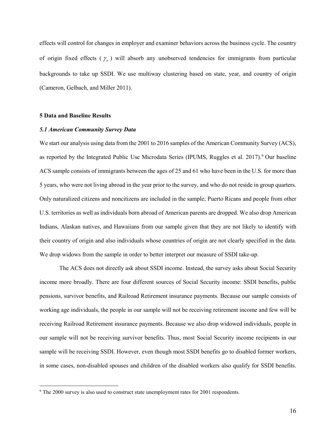effects will control for changes in employer and examiner behaviors across the business cycle. The country of origin fixed effects ( $\gamma$ <sub>o</sub>) will absorb any unobserved tendencies for immigrants from particular backgrounds to take up SSDI. We use multiway clustering based on state, year, and country of origin (Cameron, Gelbach, and Miller 2011).

### **5 Data and Baseline Results**

# *5.1 American Community Survey Data*

We start our analysis using data from the 2001 to 2016 samples of the American Community Survey (ACS), as reported by the Integrated Public Use Microdata Series (IPUMS, Ruggles et al. 2017).<sup>[9](#page-18-0)</sup> Our baseline ACS sample consists of immigrants between the ages of 25 and 61 who have been in the U.S. for more than 5 years, who were not living abroad in the year prior to the survey, and who do not reside in group quarters. Only naturalized citizens and noncitizens are included in the sample; Puerto Ricans and people from other U.S. territories as well as individuals born abroad of American parents are dropped. We also drop American Indians, Alaskan natives, and Hawaiians from our sample given that they are not likely to identify with their country of origin and also individuals whose countries of origin are not clearly specified in the data. We drop widows from the sample in order to better interpret our measure of SSDI take-up.

The ACS does not directly ask about SSDI income. Instead, the survey asks about Social Security income more broadly. There are four different sources of Social Security income: SSDI benefits, public pensions, survivor benefits, and Railroad Retirement insurance payments. Because our sample consists of working age individuals, the people in our sample will not be receiving retirement income and few will be receiving Railroad Retirement insurance payments. Because we also drop widowed individuals, people in our sample will not be receiving survivor benefits. Thus, most Social Security income recipients in our sample will be receiving SSDI. However, even though most SSDI benefits go to disabled former workers, in some cases, non-disabled spouses and children of the disabled workers also qualify for SSDI benefits.

<span id="page-18-0"></span><sup>&</sup>lt;sup>9</sup> The 2000 survey is also used to construct state unemployment rates for 2001 respondents.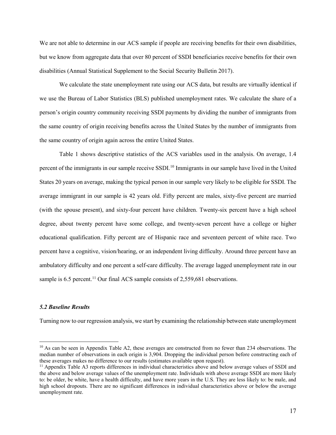We are not able to determine in our ACS sample if people are receiving benefits for their own disabilities, but we know from aggregate data that over 80 percent of SSDI beneficiaries receive benefits for their own disabilities (Annual Statistical Supplement to the Social Security Bulletin 2017).

We calculate the state unemployment rate using our ACS data, but results are virtually identical if we use the Bureau of Labor Statistics (BLS) published unemployment rates. We calculate the share of a person's origin country community receiving SSDI payments by dividing the number of immigrants from the same country of origin receiving benefits across the United States by the number of immigrants from the same country of origin again across the entire United States.

Table 1 shows descriptive statistics of the ACS variables used in the analysis. On average, 1.4 percent of the immigrants in our sample receive SSDI.<sup>[10](#page-19-0)</sup> Immigrants in our sample have lived in the United States 20 years on average, making the typical person in our sample very likely to be eligible for SSDI. The average immigrant in our sample is 42 years old. Fifty percent are males, sixty-five percent are married (with the spouse present), and sixty-four percent have children. Twenty-six percent have a high school degree, about twenty percent have some college, and twenty-seven percent have a college or higher educational qualification. Fifty percent are of Hispanic race and seventeen percent of white race. Two percent have a cognitive, vision/hearing, or an independent living difficulty. Around three percent have an ambulatory difficulty and one percent a self-care difficulty. The average lagged unemployment rate in our sample is  $6.5$  percent.<sup>[11](#page-19-1)</sup> Our final ACS sample consists of  $2,559,681$  observations.

# *5.2 Baseline Results*

Turning now to our regression analysis, we start by examining the relationship between state unemployment

<span id="page-19-0"></span> $10$  As can be seen in Appendix Table A2, these averages are constructed from no fewer than 234 observations. The median number of observations in each origin is 3,904. Dropping the individual person before constructing each of these averages makes no difference to our results (estimates available upon request).

<span id="page-19-1"></span> $11$  Appendix Table A3 reports differences in individual characteristics above and below average values of SSDI and the above and below average values of the unemployment rate. Individuals with above average SSDI are more likely to: be older, be white, have a health difficulty, and have more years in the U.S. They are less likely to: be male, and high school dropouts. There are no significant differences in individual characteristics above or below the average unemployment rate.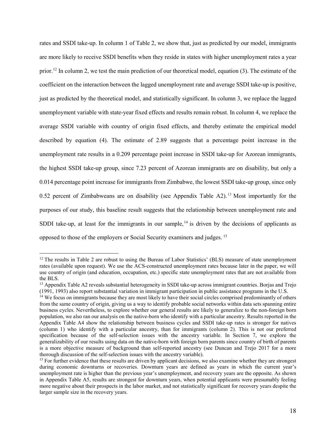rates and SSDI take-up. In column 1 of Table 2, we show that, just as predicted by our model, immigrants are more likely to receive SSDI benefits when they reside in states with higher unemployment rates a year prior.<sup>[12](#page-20-0)</sup> In column 2, we test the main prediction of our theoretical model, equation (3). The estimate of the coefficient on the interaction between the lagged unemployment rate and average SSDI take-up is positive, just as predicted by the theoretical model, and statistically significant. In column 3, we replace the lagged unemployment variable with state-year fixed effects and results remain robust. In column 4, we replace the average SSDI variable with country of origin fixed effects, and thereby estimate the empirical model described by equation (4). The estimate of 2.89 suggests that a percentage point increase in the unemployment rate results in a 0.209 percentage point increase in SSDI take-up for Azorean immigrants, the highest SSDI take-up group, since 7.23 percent of Azorean immigrants are on disability, but only a 0.014 percentage point increase for immigrants from Zimbabwe, the lowest SSDI take-up group, since only 0.52 percent of Zimbabweans are on disability (see Appendix Table A2).<sup>[13](#page-20-1)</sup> Most importantly for the purposes of our study, this baseline result suggests that the relationship between unemployment rate and SDDI take-up, at least for the immigrants in our sample,  $14$  is driven by the decisions of applicants as opposed to those of the employers or Social Security examiners and judges. [15](#page-20-3)

<span id="page-20-0"></span><sup>&</sup>lt;sup>12</sup> The results in Table 2 are robust to using the Bureau of Labor Statistics' (BLS) measure of state unemployment rates (available upon request). We use the ACS-constructed unemployment rates because later in the paper, we will use country of origin (and education, occupation, etc.) specific state unemployment rates that are not available from the BLS.

<span id="page-20-1"></span><sup>&</sup>lt;sup>13</sup> Appendix Table A2 reveals substantial heterogeneity in SSDI take-up across immigrant countries. Borjas and Trejo (1991, 1993) also report substantial variation in immigrant participation in public assistance programs

<span id="page-20-2"></span><sup>&</sup>lt;sup>14</sup> We focus on immigrants because they are most likely to have their social circles comprised predominantly of others from the same country of origin, giving us a way to identify probable social networks within data sets spanning entire business cycles. Nevertheless, to explore whether our general results are likely to generalize to the non-foreign born population, we also ran our analysis on the native-born who identify with a particular ancestry. Results reported in the Appendix Table A4 show the relationship between business cycles and SSDI take-up rates is stronger for natives (column 1) who identify with a particular ancestry, than for immigrants (column 2). This is not our preferred specification because of the self-selection issues with the ancestry variable. In Section 7, we explore the generalizability of our results using data on the native-born with foreign born parents since country of birth of parents is a more objective measure of background than self-reported ancestry (see Duncan and Trejo 2017 for a more thorough discussion of the self-selection issues with the ancestry variable).

<span id="page-20-3"></span><sup>&</sup>lt;sup>15</sup> For further evidence that these results are driven by applicant decisions, we also examine whether they are strongest during economic downturns or recoveries. Downturn years are defined as years in which the current year's unemployment rate is higher than the previous year's unemployment, and recovery years are the opposite. As shown in Appendix Table A5, results are strongest for downturn years, when potential applicants were presumably feeling more negative about their prospects in the labor market, and not statistically significant for recovery years despite the larger sample size in the recovery years.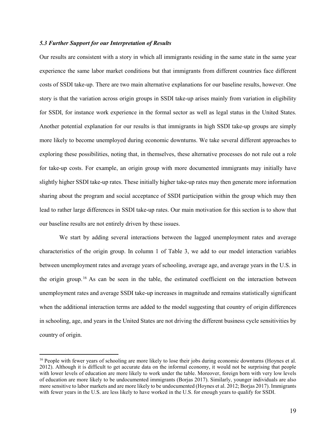# *5.3 Further Support for our Interpretation of Results*

Our results are consistent with a story in which all immigrants residing in the same state in the same year experience the same labor market conditions but that immigrants from different countries face different costs of SSDI take-up. There are two main alternative explanations for our baseline results, however. One story is that the variation across origin groups in SSDI take-up arises mainly from variation in eligibility for SSDI, for instance work experience in the formal sector as well as legal status in the United States. Another potential explanation for our results is that immigrants in high SSDI take-up groups are simply more likely to become unemployed during economic downturns. We take several different approaches to exploring these possibilities, noting that, in themselves, these alternative processes do not rule out a role for take-up costs. For example, an origin group with more documented immigrants may initially have slightly higher SSDI take-up rates. These initially higher take-up rates may then generate more information sharing about the program and social acceptance of SSDI participation within the group which may then lead to rather large differences in SSDI take-up rates. Our main motivation for this section is to show that our baseline results are not entirely driven by these issues.

We start by adding several interactions between the lagged unemployment rates and average characteristics of the origin group. In column 1 of Table 3, we add to our model interaction variables between unemployment rates and average years of schooling, average age, and average years in the U.S. in the origin group. [16](#page-21-0) As can be seen in the table, the estimated coefficient on the interaction between unemployment rates and average SSDI take-up increases in magnitude and remains statistically significant when the additional interaction terms are added to the model suggesting that country of origin differences in schooling, age, and years in the United States are not driving the different business cycle sensitivities by country of origin.

<span id="page-21-0"></span><sup>&</sup>lt;sup>16</sup> People with fewer years of schooling are more likely to lose their jobs during economic downturns (Hoynes et al. 2012). Although it is difficult to get accurate data on the informal economy, it would not be surprising that people with lower levels of education are more likely to work under the table. Moreover, foreign born with very low levels of education are more likely to be undocumented immigrants (Borjas 2017). Similarly, younger individuals are also more sensitive to labor markets and are more likely to be undocumented (Hoynes et al. 2012; Borjas 2017). Immigrants with fewer years in the U.S. are less likely to have worked in the U.S. for enough years to qualify for SSDI.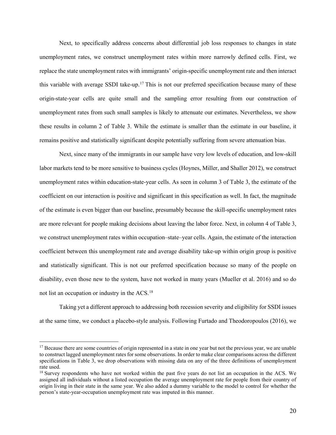Next, to specifically address concerns about differential job loss responses to changes in state unemployment rates, we construct unemployment rates within more narrowly defined cells. First, we replace the state unemployment rates with immigrants' origin-specific unemployment rate and then interact this variable with average SSDI take-up.<sup>[17](#page-22-0)</sup> This is not our preferred specification because many of these origin-state-year cells are quite small and the sampling error resulting from our construction of unemployment rates from such small samples is likely to attenuate our estimates. Nevertheless, we show these results in column 2 of Table 3. While the estimate is smaller than the estimate in our baseline, it remains positive and statistically significant despite potentially suffering from severe attenuation bias.

Next, since many of the immigrants in our sample have very low levels of education, and low-skill labor markets tend to be more sensitive to business cycles (Hoynes, Miller, and Shaller 2012), we construct unemployment rates within education-state-year cells. As seen in column 3 of Table 3, the estimate of the coefficient on our interaction is positive and significant in this specification as well. In fact, the magnitude of the estimate is even bigger than our baseline, presumably because the skill-specific unemployment rates are more relevant for people making decisions about leaving the labor force. Next, in column 4 of Table 3, we construct unemployment rates within occupation–state–year cells. Again, the estimate of the interaction coefficient between this unemployment rate and average disability take-up within origin group is positive and statistically significant. This is not our preferred specification because so many of the people on disability, even those new to the system, have not worked in many years (Mueller et al. 2016) and so do not list an occupation or industry in the ACS.[18](#page-22-1)

Taking yet a different approach to addressing both recession severity and eligibility for SSDI issues at the same time, we conduct a placebo-style analysis. Following Furtado and Theodoropoulos (2016), we

<span id="page-22-0"></span> $17$  Because there are some countries of origin represented in a state in one year but not the previous year, we are unable to construct lagged unemployment rates for some observations. In order to make clear comparisons across the different specifications in Table 3, we drop observations with missing data on any of the three definitions of unemployment rate used.

<span id="page-22-1"></span><sup>&</sup>lt;sup>18</sup> Survey respondents who have not worked within the past five years do not list an occupation in the ACS. We assigned all individuals without a listed occupation the average unemployment rate for people from their country of origin living in their state in the same year. We also added a dummy variable to the model to control for whether the person's state-year-occupation unemployment rate was imputed in this manner.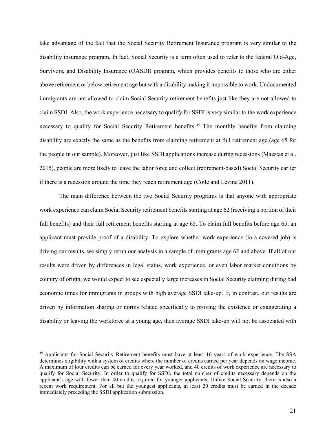take advantage of the fact that the Social Security Retirement Insurance program is very similar to the disability insurance program. In fact, Social Security is a term often used to refer to the federal Old-Age, Survivors, and Disability Insurance (OASDI) program, which provides benefits to those who are either above retirement or below retirement age but with a disability making it impossible to work. Undocumented immigrants are not allowed to claim Social Security retirement benefits just like they are not allowed to claim SSDI. Also, the work experience necessary to qualify for SSDI is very similar to the work experience necessary to qualify for Social Security Retirement benefits.<sup>[19](#page-23-0)</sup> The monthly benefits from claiming disability are exactly the same as the benefits from claiming retirement at full retirement age (age 65 for the people in our sample). Moreover, just like SSDI applications increase during recessions (Maestas et al. 2015), people are more likely to leave the labor force and collect (retirement-based) Social Security earlier if there is a recession around the time they reach retirement age (Coile and Levine 2011).

The main difference between the two Social Security programs is that anyone with appropriate work experience can claim Social Security retirement benefits starting at age 62 (receiving a portion of their full benefits) and their full retirement benefits starting at age 65. To claim full benefits before age 65, an applicant must provide proof of a disability. To explore whether work experience (in a covered job) is driving our results, we simply rerun our analysis in a sample of immigrants age 62 and above. If all of our results were driven by differences in legal status, work experience, or even labor market conditions by country of origin, we would expect to see especially large increases in Social Security claiming during bad economic times for immigrants in groups with high average SSDI take-up. If, in contrast, our results are driven by information sharing or norms related specifically to proving the existence or exaggerating a disability or leaving the workforce at a young age, then average SSDI take-up will not be associated with

<span id="page-23-0"></span><sup>&</sup>lt;sup>19</sup> Applicants for Social Security Retirement benefits must have at least 10 years of work experience. The SSA determines eligibility with a system of credits where the number of credits earned per year depends on wage income. A maximum of four credits can be earned for every year worked, and 40 credits of work experience are necessary to qualify for Social Security. In order to qualify for SSDI, the total number of credits necessary depends on the applicant's age with fewer than 40 credits required for younger applicants. Unlike Social Security, there is also a recent work requirement. For all but the youngest applicants, at least 20 credits must be earned in the decade immediately preceding the SSDI application submission.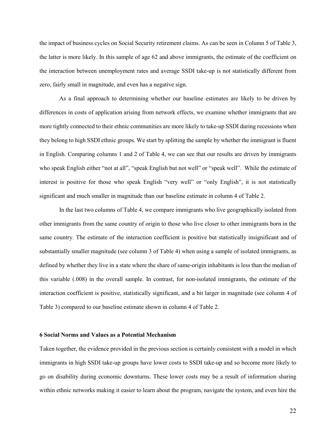the impact of business cycles on Social Security retirement claims. As can be seen in Column 5 of Table 3, the latter is more likely. In this sample of age 62 and above immigrants, the estimate of the coefficient on the interaction between unemployment rates and average SSDI take-up is not statistically different from zero, fairly small in magnitude, and even has a negative sign.

As a final approach to determining whether our baseline estimates are likely to be driven by differences in costs of application arising from network effects, we examine whether immigrants that are more tightly connected to their ethnic communities are more likely to take-up SSDI during recessions when they belong to high SSDI ethnic groups. We start by splitting the sample by whether the immigrant is fluent in English. Comparing columns 1 and 2 of Table 4, we can see that our results are driven by immigrants who speak English either "not at all", "speak English but not well" or "speak well". While the estimate of interest is positive for those who speak English "very well" or "only English", it is not statistically significant and much smaller in magnitude than our baseline estimate in column 4 of Table 2.

In the last two columns of Table 4, we compare immigrants who live geographically isolated from other immigrants from the same country of origin to those who live closer to other immigrants born in the same country. The estimate of the interaction coefficient is positive but statistically insignificant and of substantially smaller magnitude (see column 3 of Table 4) when using a sample of isolated immigrants, as defined by whether they live in a state where the share of same-origin inhabitants is less than the median of this variable (.008) in the overall sample. In contrast, for non-isolated immigrants, the estimate of the interaction coefficient is positive, statistically significant, and a bit larger in magnitude (see column 4 of Table 3) compared to our baseline estimate shown in column 4 of Table 2.

## **6 Social Norms and Values as a Potential Mechanism**

Taken together, the evidence provided in the previous section is certainly consistent with a model in which immigrants in high SSDI take-up groups have lower costs to SSDI take-up and so become more likely to go on disability during economic downturns. These lower costs may be a result of information sharing within ethnic networks making it easier to learn about the program, navigate the system, and even hire the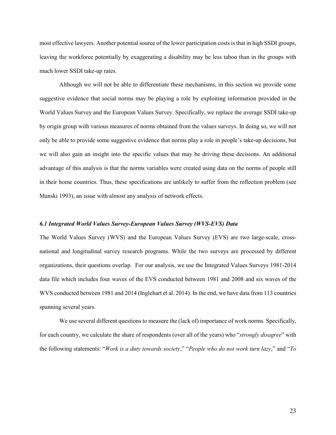most effective lawyers. Another potential source of the lower participation costs is that in high SSDI groups, leaving the workforce potentially by exaggerating a disability may be less taboo than in the groups with much lower SSDI take-up rates.

Although we will not be able to differentiate these mechanisms, in this section we provide some suggestive evidence that social norms may be playing a role by exploiting information provided in the World Values Survey and the European Values Survey. Specifically, we replace the average SSDI take-up by origin group with various measures of norms obtained from the values surveys. In doing so, we will not only be able to provide some suggestive evidence that norms play a role in people's take-up decisions, but we will also gain an insight into the specific values that may be driving these decisions. An additional advantage of this analysis is that the norms variables were created using data on the norms of people still in their home countries. Thus, these specifications are unlikely to suffer from the reflection problem (see Manski 1993), an issue with almost any analysis of network effects.

# *6.1 Integrated World Values Survey-European Values Survey (WVS-EVS) Data*

The World Values Survey (WVS) and the European Values Survey (EVS) are two large-scale, crossnational and longitudinal survey research programs. While the two surveys are processed by different organizations, their questions overlap. For our analysis, we use the Integrated Values Surveys 1981-2014 data file which includes four waves of the EVS conducted between 1981 and 2008 and six waves of the WVS conducted between 1981 and 2014 (Inglehart et al. 2014). In the end, we have data from 113 countries spanning several years.

We use several different questions to measure the (lack of) importance of work norms. Specifically, for each country, we calculate the share of respondents (over all of the years) who "*strongly disagree*" with the following statements: "*Work is a duty towards society*," "*People who do not work turn lazy*," and "*To*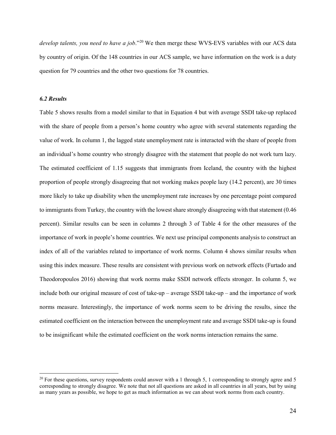*develop talents, you need to have a job*."[20](#page-26-0) We then merge these WVS-EVS variables with our ACS data by country of origin. Of the 148 countries in our ACS sample, we have information on the work is a duty question for 79 countries and the other two questions for 78 countries.

# *6.2 Results*

Table 5 shows results from a model similar to that in Equation 4 but with average SSDI take-up replaced with the share of people from a person's home country who agree with several statements regarding the value of work. In column 1, the lagged state unemployment rate is interacted with the share of people from an individual's home country who strongly disagree with the statement that people do not work turn lazy. The estimated coefficient of 1.15 suggests that immigrants from Iceland, the country with the highest proportion of people strongly disagreeing that not working makes people lazy (14.2 percent), are 30 times more likely to take up disability when the unemployment rate increases by one percentage point compared to immigrants from Turkey, the country with the lowest share strongly disagreeing with that statement (0.46 percent). Similar results can be seen in columns 2 through 3 of Table 4 for the other measures of the importance of work in people's home countries. We next use principal components analysis to construct an index of all of the variables related to importance of work norms. Column 4 shows similar results when using this index measure. These results are consistent with previous work on network effects (Furtado and Theodoropoulos 2016) showing that work norms make SSDI network effects stronger. In column 5, we include both our original measure of cost of take-up – average SSDI take-up – and the importance of work norms measure. Interestingly, the importance of work norms seem to be driving the results, since the estimated coefficient on the interaction between the unemployment rate and average SSDI take-up is found to be insignificant while the estimated coefficient on the work norms interaction remains the same.

<span id="page-26-0"></span><sup>&</sup>lt;sup>20</sup> For these questions, survey respondents could answer with a 1 through 5, 1 corresponding to strongly agree and 5 corresponding to strongly disagree. We note that not all questions are asked in all countries in all years, but by using as many years as possible, we hope to get as much information as we can about work norms from each country.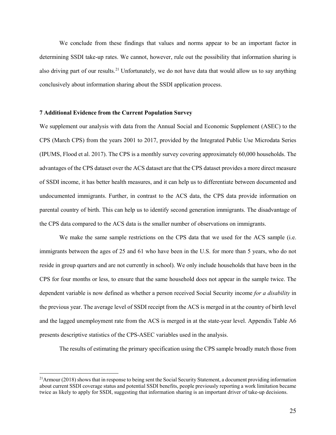We conclude from these findings that values and norms appear to be an important factor in determining SSDI take-up rates. We cannot, however, rule out the possibility that information sharing is also driving part of our results.<sup>[21](#page-27-0)</sup> Unfortunately, we do not have data that would allow us to say anything conclusively about information sharing about the SSDI application process.

# **7 Additional Evidence from the Current Population Survey**

We supplement our analysis with data from the Annual Social and Economic Supplement (ASEC) to the CPS (March CPS) from the years 2001 to 2017, provided by the Integrated Public Use Microdata Series (IPUMS, Flood et al. 2017). The CPS is a monthly survey covering approximately 60,000 households. The advantages of the CPS dataset over the ACS dataset are that the CPS dataset provides a more direct measure of SSDI income, it has better health measures, and it can help us to differentiate between documented and undocumented immigrants. Further, in contrast to the ACS data, the CPS data provide information on parental country of birth. This can help us to identify second generation immigrants. The disadvantage of the CPS data compared to the ACS data is the smaller number of observations on immigrants.

We make the same sample restrictions on the CPS data that we used for the ACS sample (i.e. immigrants between the ages of 25 and 61 who have been in the U.S. for more than 5 years, who do not reside in group quarters and are not currently in school). We only include households that have been in the CPS for four months or less, to ensure that the same household does not appear in the sample twice. The dependent variable is now defined as whether a person received Social Security income *for a disability* in the previous year. The average level of SSDI receipt from the ACS is merged in at the country of birth level and the lagged unemployment rate from the ACS is merged in at the state-year level. Appendix Table A6 presents descriptive statistics of the CPS-ASEC variables used in the analysis.

The results of estimating the primary specification using the CPS sample broadly match those from

<span id="page-27-0"></span> $21$ Armour (2018) shows that in response to being sent the Social Security Statement, a document providing information about current SSDI coverage status and potential SSDI benefits, people previously reporting a work limitation became twice as likely to apply for SSDI, suggesting that information sharing is an important driver of take-up decisions.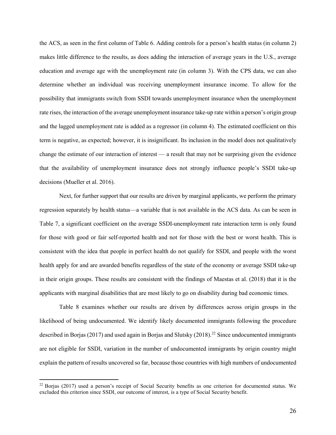the ACS, as seen in the first column of Table 6. Adding controls for a person's health status (in column 2) makes little difference to the results, as does adding the interaction of average years in the U.S., average education and average age with the unemployment rate (in column 3). With the CPS data, we can also determine whether an individual was receiving unemployment insurance income. To allow for the possibility that immigrants switch from SSDI towards unemployment insurance when the unemployment rate rises, the interaction of the average unemployment insurance take-up rate within a person's origin group and the lagged unemployment rate is added as a regressor (in column 4). The estimated coefficient on this term is negative, as expected; however, it is insignificant. Its inclusion in the model does not qualitatively change the estimate of our interaction of interest — a result that may not be surprising given the evidence that the availability of unemployment insurance does not strongly influence people's SSDI take-up decisions (Mueller et al. 2016).

Next, for further support that our results are driven by marginal applicants, we perform the primary regression separately by health status—a variable that is not available in the ACS data. As can be seen in Table 7, a significant coefficient on the average SSDI-unemployment rate interaction term is only found for those with good or fair self-reported health and not for those with the best or worst health. This is consistent with the idea that people in perfect health do not qualify for SSDI, and people with the worst health apply for and are awarded benefits regardless of the state of the economy or average SSDI take-up in their origin groups. These results are consistent with the findings of Maestas et al. (2018) that it is the applicants with marginal disabilities that are most likely to go on disability during bad economic times.

Table 8 examines whether our results are driven by differences across origin groups in the likelihood of being undocumented. We identify likely documented immigrants following the procedure described in Borjas (2017) and used again in Borjas and Slutsky (2018).<sup>[22](#page-28-0)</sup> Since undocumented immigrants are not eligible for SSDI, variation in the number of undocumented immigrants by origin country might explain the pattern of results uncovered so far, because those countries with high numbers of undocumented

<span id="page-28-0"></span> $^{22}$  Borjas (2017) used a person's receipt of Social Security benefits as one criterion for documented status. We excluded this criterion since SSDI, our outcome of interest, is a type of Social Security benefit.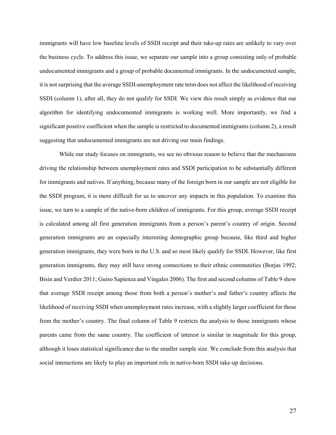immigrants will have low baseline levels of SSDI receipt and their take-up rates are unlikely to vary over the business cycle. To address this issue, we separate our sample into a group consisting only of probable undocumented immigrants and a group of probable documented immigrants. In the undocumented sample, it is not surprising that the average SSDI-unemployment rate term does not affect the likelihood of receiving SSDI (column 1), after all, they do not qualify for SSDI. We view this result simply as evidence that our algorithm for identifying undocumented immigrants is working well. More importantly, we find a significant positive coefficient when the sample is restricted to documented immigrants (column 2), a result suggesting that undocumented immigrants are not driving our main findings.

While our study focuses on immigrants, we see no obvious reason to believe that the mechanisms driving the relationship between unemployment rates and SSDI participation to be substantially different for immigrants and natives. If anything, because many of the foreign born in our sample are not eligible for the SSDI program, it is more difficult for us to uncover any impacts in this population. To examine this issue, we turn to a sample of the native-born children of immigrants. For this group, average SSDI receipt is calculated among all first generation immigrants from a person's parent's country of origin. Second generation immigrants are an especially interesting demographic group because, like third and higher generation immigrants, they were born in the U.S. and so most likely qualify for SSDI. However, like first generation immigrants, they may still have strong connections to their ethnic communities (Borjas 1992; Bisin and Verdier 2011; Guiso Sapienza and Vingales 2006). The first and second columns of Table 9 show that average SSDI receipt among those from both a person's mother's and father's country affects the likelihood of receiving SSDI when unemployment rates increase, with a slightly larger coefficient for those from the mother's country. The final column of Table 9 restricts the analysis to those immigrants whose parents came from the same country. The coefficient of interest is similar in magnitude for this group, although it loses statistical significance due to the smaller sample size. We conclude from this analysis that social interactions are likely to play an important role in native-born SSDI take-up decisions.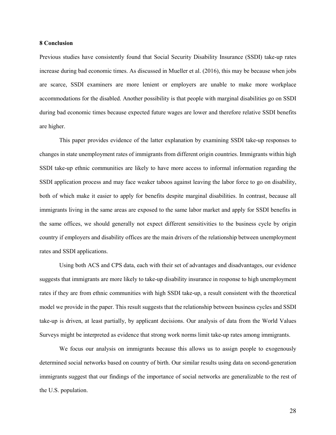### **8 Conclusion**

Previous studies have consistently found that Social Security Disability Insurance (SSDI) take-up rates increase during bad economic times. As discussed in Mueller et al. (2016), this may be because when jobs are scarce, SSDI examiners are more lenient or employers are unable to make more workplace accommodations for the disabled. Another possibility is that people with marginal disabilities go on SSDI during bad economic times because expected future wages are lower and therefore relative SSDI benefits are higher.

This paper provides evidence of the latter explanation by examining SSDI take-up responses to changes in state unemployment rates of immigrants from different origin countries. Immigrants within high SSDI take-up ethnic communities are likely to have more access to informal information regarding the SSDI application process and may face weaker taboos against leaving the labor force to go on disability, both of which make it easier to apply for benefits despite marginal disabilities. In contrast, because all immigrants living in the same areas are exposed to the same labor market and apply for SSDI benefits in the same offices, we should generally not expect different sensitivities to the business cycle by origin country if employers and disability offices are the main drivers of the relationship between unemployment rates and SSDI applications.

Using both ACS and CPS data, each with their set of advantages and disadvantages, our evidence suggests that immigrants are more likely to take-up disability insurance in response to high unemployment rates if they are from ethnic communities with high SSDI take-up, a result consistent with the theoretical model we provide in the paper. This result suggests that the relationship between business cycles and SSDI take-up is driven, at least partially, by applicant decisions. Our analysis of data from the World Values Surveys might be interpreted as evidence that strong work norms limit take-up rates among immigrants.

We focus our analysis on immigrants because this allows us to assign people to exogenously determined social networks based on country of birth. Our similar results using data on second-generation immigrants suggest that our findings of the importance of social networks are generalizable to the rest of the U.S. population.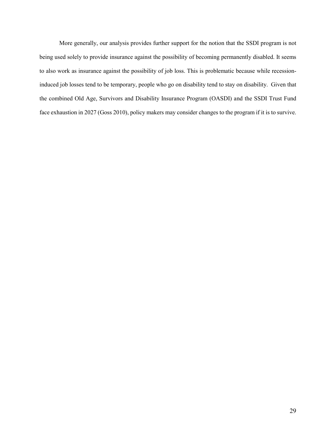More generally, our analysis provides further support for the notion that the SSDI program is not being used solely to provide insurance against the possibility of becoming permanently disabled. It seems to also work as insurance against the possibility of job loss. This is problematic because while recessioninduced job losses tend to be temporary, people who go on disability tend to stay on disability. Given that the combined Old Age, Survivors and Disability Insurance Program (OASDI) and the SSDI Trust Fund face exhaustion in 2027 (Goss 2010), policy makers may consider changes to the program if it is to survive.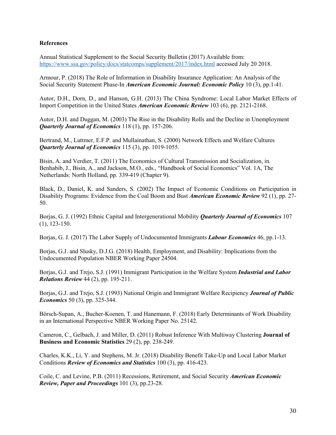# **References**

Annual Statistical Supplement to the Social Security Bulletin (2017) Available from: <https://www.ssa.gov/policy/docs/statcomps/supplement/2017/index.html> accessed July 20 2018.

Armour, P. (2018) The Role of Information in Disability Insurance Application: An Analysis of the Social Security Statement Phase-In *American Economic Journal: Economic Policy* 10 (3), pp.1-41.

Autor, D.H., Dorn, D., and Hanson, G.H. (2013) The China Syndrome: Local Labor Market Effects of Import Competition in the United States *American Economic Review* 103 (6), pp. 2121-2168.

Autor, D.H. and Duggan, M. (2003) The Rise in the Disability Rolls and the Decline in Unemployment *Quarterly Journal of Economics* 118 (1), pp. 157-206.

Bertrand, M., Luttmer, E.F.P. and Mullainathan, S. (2000) Network Effects and Welfare Cultures *Quarterly Journal of Economics* 115 (3), pp. 1019-1055.

Bisin, A. and Verdier, T. (2011) The Economics of Cultural Transmission and Socialization, in. Benhabib, J., Bisin, A., and Jackson, M.O., eds., "Handbook of Social Economics" Vol. 1A, The Netherlands: North Holland, pp. 339-419 (Chapter 9).

Black, D., Daniel, K. and Sanders, S. (2002) The Impact of Economic Conditions on Participation in Disability Programs: Evidence from the Coal Boom and Bust *American Economic Review* 92 (1), pp. 27- 50.

Borjas, G. J. (1992) Ethnic Capital and Intergenerational Mobility *Quarterly Journal of Economics* 107 (1), 123-150.

Borjas, G. J. (2017) The Labor Supply of Undocumented Immigrants *Labour Economics* 46, pp.1-13.

Borjas, G.J. and Slusky, D.J.G. (2018) Health, Employment, and Disability: Implications from the Undocumented Population NBER Working Paper 24504.

Borjas, G.J. and Trejo, S.J. (1991) Immigrant Participation in the Welfare System *Industrial and Labor Relations Review* 44 (2), pp. 195-211.

Borjas, G.J. and Trejo, S.J. (1993) National Origin and Immigrant Welfare Recipiency *Journal of Public Economics* 50 (3), pp. 325-344.

Börsch-Supan, A., Bucher-Koenen, T. and Hanemann, F. (2018) Early Determinants of Work Disability in an International Perspective NBER Working Paper No. 25142.

Cameron, C., Gelbach, J. and Miller, D. (2011) Robust Inference With Multiway Clustering **Journal of Business and Economic Statistics** 29 (2), pp. 238-249.

Charles, K.K., Li, Y. and Stephens, M. Jr. (2018) Disability Benefit Take-Up and Local Labor Market Conditions *Review of Economics and Statistics* 100 (3), pp. 416-423.

Coile, C. and Levine, P.B. (2011) Recessions, Retirement, and Social Security *American Economic Review, Paper and Proceedings* 101 (3), pp.23-28.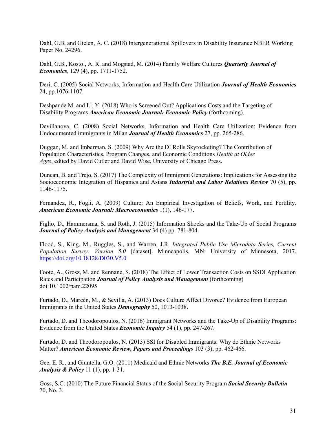Dahl, G.B. and Gielen, A. C. (2018) Intergenerational Spillovers in Disability Insurance NBER Working Paper No. 24296.

Dahl, G.B., Kostol, A. R. and Mogstad, M. (2014) Family Welfare Cultures *Quarterly Journal of Economics*, 129 (4), pp. 1711-1752.

Deri, C. (2005) Social Networks, Information and Health Care Utilization *Journal of Health Economics* 24, pp.1076-1107.

Deshpande M. and Li, Y. (2018) Who is Screened Out? Applications Costs and the Targeting of Disability Programs *American Economic Journal: Economic Policy* (forthcoming).

Devillanova, C. (2008) Social Networks, Information and Health Care Utilization: Evidence from Undocumented immigrants in Milan *Journal of Health Economics* 27, pp. 265-286.

Duggan, M. and Imberman, S. (2009) Why Are the DI Rolls Skyrocketing? The Contribution of Population Characteristics, Program Changes, and Economic Conditions *Health at Older Ages*, edited by David Cutler and David Wise, University of Chicago Press.

Duncan, B. and Trejo, S. (2017) The Complexity of Immigrant Generations: Implications for Assessing the Socioeconomic Integration of Hispanics and Asians *Industrial and Labor Relations Review* 70 (5), pp. 1146-1175.

Fernandez, R., Fogli, A. (2009) Culture: An Empirical Investigation of Beliefs, Work, and Fertility. *American Economic Journal: Macroeconomics* 1(1), 146-177.

Figlio, D., Hammersma, S. and Roth, J. (2015) Information Shocks and the Take-Up of Social Programs *Journal of Policy Analysis and Management* 34 (4) pp. 781-804.

Flood, S., King, M., Ruggles, S., and Warren, J.R. *Integrated Public Use Microdata Series, Current Population Survey: Version 5.0* [dataset]. Minneapolis, MN: University of Minnesota, 2017. <https://doi.org/10.18128/D030.V5.0>

Foote, A., Grosz, M. and Rennane, S. (2018) The Effect of Lower Transaction Costs on SSDI Application Rates and Participation *Journal of Policy Analysis and Management* (forthcoming) doi:10.1002/pam.22095

Furtado, D., Marcén, M., & Sevilla, A. (2013) Does Culture Affect Divorce? Evidence from European Immigrants in the United States *Demography* 50, 1013-1038.

Furtado, D. and Theodoropoulos, N. (2016) Immigrant Networks and the Take-Up of Disability Programs: Evidence from the United States *Economic Inquiry* 54 (1), pp. 247-267.

Furtado, D. and Theodoropoulos, N. (2013) SSI for Disabled Immigrants: Why do Ethnic Networks Matter? *American Economic Review, Papers and Proceedings* 103 (3), pp. 462-466.

Gee, E. R., and Giuntella, G.O. (2011) Medicaid and Ethnic Networks *The B.E. Journal of Economic Analysis & Policy* 11 (1), pp. 1-31.

Goss, S.C. (2010) The Future Financial Status of the Social Security Program *Social Security Bulletin* 70, No. 3.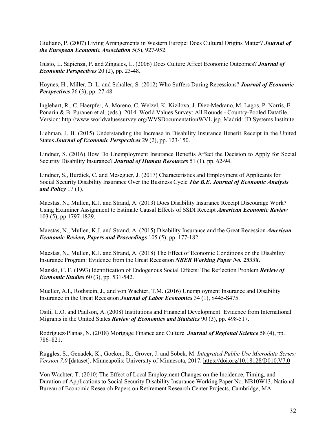Giuliano, P. (2007) Living Arrangements in Western Europe: Does Cultural Origins Matter? *Journal of the European Economic Association* 5(5), 927-952.

Gusio, L. Sapienza, P. and Zingales, L. (2006) Does Culture Affect Economic Outcomes? *Journal of Economic Perspectives* 20 (2), pp. 23-48.

Hoynes, H., Miller, D. L. and Schaller, S. (2012) Who Suffers During Recessions? *Journal of Economic Perspectives* 26 (3), pp. 27-48.

Inglehart, R., C. Haerpfer, A. Moreno, C. Welzel, K. Kizilova, J. Diez-Medrano, M. Lagos, P. Norris, E. Ponarin & B. Puranen et al. (eds.). 2014. World Values Survey: All Rounds - Country-Pooled Datafile Version: [http://www.worldvaluessurvey.org/WVSDocumentationWVL.jsp.](http://www.worldvaluessurvey.org/WVSDocumentationWVL.jsp) Madrid: JD Systems Institute.

Liebman, J. B. (2015) Understanding the Increase in Disability Insurance Benefit Receipt in the United States *Journal of Economic Perspectives* 29 (2), pp. 123-150.

Lindner, S. (2016) How Do Unemployment Insurance Benefits Affect the Decision to Apply for Social Security Disability Insurance? *Journal of Human Resources* 51 (1), pp. 62-94.

Lindner, S., Burdick, C. and Meseguer, J. (2017) Characteristics and Employment of Applicants for Social Security Disability Insurance Over the Business Cycle *The B.E. Journal of Economic Analysis and Policy* 17 (1).

Maestas, N., Mullen, K.J. and Strand, A. (2013) Does Disability Insurance Receipt Discourage Work? Using Examiner Assignment to Estimate Causal Effects of SSDI Receipt *American Economic Review* 103 (5), pp.1797-1829.

Maestas, N., Mullen, K.J. and Strand, A. (2015) Disability Insurance and the Great Recession *American Economic Review, Papers and Proceedings* 105 (5), pp. 177-182.

Maestas, N., Mullen, K.J. and Strand, A. (2018) The Effect of Economic Conditions on the Disability Insurance Program: Evidence from the Great Recession *NBER Working Paper No. 25338***.**

Manski, C. F. (1993) Identification of Endogenous Social Effects: The Reflection Problem *Review of Economic Studies* 60 (3), pp. 531-542.

Mueller, A.I., Rothstein, J., and von Wachter, T.M. (2016) Unemployment Insurance and Disability Insurance in the Great Recession *Journal of Labor Economics* 34 (1), S445-S475.

Osili, U.O. and Paulson, A. (2008) Institutions and Financial Development: Evidence from International Migrants in the United States *Review of Economics and Statistics* 90 (3), pp. 498-517.

Rodríguez‐Planas, N. (2018) Mortgage Finance and Culture. *Journal of Regional Science* 58 (4), pp. 786–821.

Ruggles, S., Genadek, K., Goeken, R., Grover, J. and Sobek, M. *Integrated Public Use Microdata Series: Version 7.0* [dataset]. Minneapolis: University of Minnesota, 2017.<https://doi.org/10.18128/D010.V7.0>

Von Wachter, T. (2010) The Effect of Local Employment Changes on the Incidence, Timing, and Duration of Applications to Social Security Disability Insurance Working Paper No. NB10W13, National Bureau of Economic Research Papers on Retirement Research Center Projects, Cambridge, MA.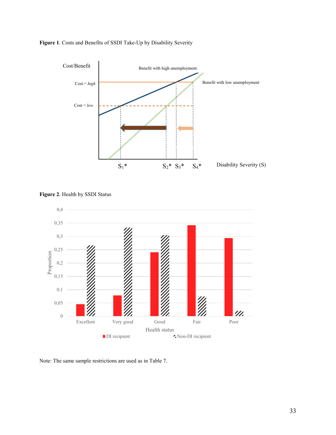

**Figure 1**. Costs and Benefits of SSDI Take-Up by Disability Severity



**Figure 2**. Health by SSDI Status

Note: The same sample restrictions are used as in Table 7.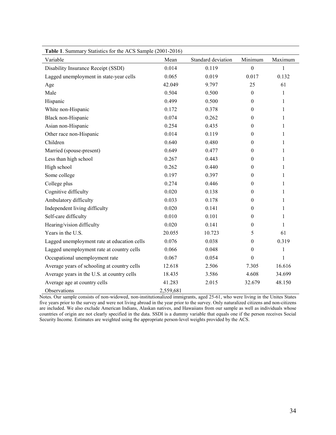| <b>Table 1.</b> Summary Statistics for the ACS Sample (2001-2016) |           |                    |                  |              |
|-------------------------------------------------------------------|-----------|--------------------|------------------|--------------|
| Variable                                                          | Mean      | Standard deviation | Minimum          | Maximum      |
| Disability Insurance Receipt (SSDI)                               | 0.014     | 0.119              | $\theta$         | 1            |
| Lagged unemployment in state-year cells                           | 0.065     | 0.019              | 0.017            | 0.132        |
| Age                                                               | 42.049    | 9.797              | 25               | 61           |
| Male                                                              | 0.504     | 0.500              | $\boldsymbol{0}$ | 1            |
| Hispanic                                                          | 0.499     | 0.500              | $\theta$         | $\mathbf{1}$ |
| White non-Hispanic                                                | 0.172     | 0.378              | $\mathbf{0}$     | 1            |
| Black non-Hispanic                                                | 0.074     | 0.262              | $\mathbf{0}$     | 1            |
| Asian non-Hispanic                                                | 0.254     | 0.435              | $\mathbf{0}$     | 1            |
| Other race non-Hispanic                                           | 0.014     | 0.119              | $\boldsymbol{0}$ | $\mathbf{1}$ |
| Children                                                          | 0.640     | 0.480              | $\boldsymbol{0}$ | $\mathbf{1}$ |
| Married (spouse-present)                                          | 0.649     | 0.477              | $\mathbf{0}$     | 1            |
| Less than high school                                             | 0.267     | 0.443              | $\mathbf{0}$     | 1            |
| High school                                                       | 0.262     | 0.440              | $\boldsymbol{0}$ | $\mathbf{1}$ |
| Some college                                                      | 0.197     | 0.397              | $\mathbf{0}$     | 1            |
| College plus                                                      | 0.274     | 0.446              | $\mathbf{0}$     | 1            |
| Cognitive difficulty                                              | 0.020     | 0.138              | $\boldsymbol{0}$ | 1            |
| Ambulatory difficulty                                             | 0.033     | 0.178              | $\mathbf{0}$     | 1            |
| Independent living difficulty                                     | 0.020     | 0.141              | $\theta$         | 1            |
| Self-care difficulty                                              | 0.010     | 0.101              | $\mathbf{0}$     | 1            |
| Hearing/vision difficulty                                         | 0.020     | 0.141              | $\theta$         | 1            |
| Years in the U.S.                                                 | 20.055    | 10.723             | 5                | 61           |
| Lagged unemployment rate at education cells                       | 0.076     | 0.038              | $\theta$         | 0.319        |
| Lagged unemployment rate at country cells                         | 0.066     | 0.048              | $\theta$         | $\mathbf{1}$ |
| Occupational unemployment rate                                    | 0.067     | 0.054              | $\theta$         | $\mathbf{1}$ |
| Average years of schooling at country cells                       | 12.618    | 2.506              | 7.305            | 16.616       |
| Average years in the U.S. at country cells                        | 18.435    | 3.586              | 4.608            | 34.699       |
| Average age at country cells                                      | 41.283    | 2.015              | 32.679           | 48.150       |
| Observations                                                      | 2,559,681 |                    |                  |              |

**Table 1**. Summary Statistics for the ACS Sample (2001-2016)

Notes. Our sample consists of non-widowed, non-institutionalized immigrants, aged 25-61, who were living in the Unites States five years prior to the survey and were not living abroad in the year prior to the survey. Only naturalized citizens and non-citizens are included. We also exclude American Indians, Alaskan natives, and Hawaiians from our sample as well as individuals whose countries of origin are not clearly specified in the data. SSDI is a dummy variable that equals one if the person receives Social Security Income. Estimates are weighted using the appropriate person-level weights provided by the ACS.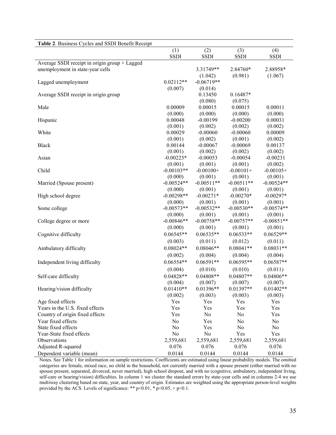| Table 2. Business Cycles and SSDI Benefit Receipt    |                 |                 |                  |              |
|------------------------------------------------------|-----------------|-----------------|------------------|--------------|
|                                                      | (1)             | (2)             | (3)              | (4)          |
|                                                      | <b>SSDI</b>     | <b>SSDI</b>     | <b>SSDI</b>      | <b>SSDI</b>  |
| Average SSDI receipt in origin group $\times$ Lagged |                 |                 |                  |              |
| unemployment in state-year cells                     |                 | $3.31749**$     | 2.84760*         | 2.88958*     |
|                                                      |                 | (1.042)         | (0.981)          | (1.067)      |
| Lagged unemployment                                  | $0.02112**$     | $-0.06719**$    |                  |              |
|                                                      | (0.007)         | (0.014)         |                  |              |
| Average SSDI receipt in origin group                 |                 | 0.13450         | $0.16487*$       |              |
|                                                      |                 | (0.080)         | (0.075)          |              |
| Male                                                 | 0.00009         | 0.00015         | 0.00015          | 0.00011      |
|                                                      | (0.000)         | (0.000)         | (0.000)          | (0.000)      |
| Hispanic                                             | 0.00048         | $-0.00199$      | $-0.00200$       | 0.00031      |
|                                                      | (0.001)         | (0.002)         | (0.002)          | (0.002)      |
| White                                                | 0.00029         | $-0.00060$      | $-0.00060$       | 0.00009      |
|                                                      | (0.001)         | (0.002)         | (0.001)          | (0.002)      |
| <b>Black</b>                                         | 0.00144         | $-0.00067$      | $-0.00069$       | 0.00137      |
|                                                      | (0.001)         | (0.002)         | (0.002)          | (0.002)      |
| Asian                                                | $-0.00223*$     | $-0.00053$      | $-0.00054$       | $-0.00231$   |
|                                                      | (0.001)         | (0.001)         | (0.001)          | (0.002)      |
| Child                                                | $-0.00103**$    | $-0.00100+$     | $-0.00101+$      | $-0.00105+$  |
|                                                      | (0.000)         | (0.001)         | (0.001)          | (0.001)      |
| Married (Spouse present)                             | $-0.00524**$    | $-0.00511**$    | $-0.00511**$     | $-0.00524**$ |
|                                                      | (0.000)         | (0.001)         | (0.001)          | (0.001)      |
| High school degree                                   | $-0.00298**$    | $-0.00271*$     | $-0.00270*$      | $-0.00297*$  |
|                                                      | (0.000)         | (0.001)         | (0.001)          | (0.001)      |
| Some college                                         | $-0.00573**$    | $-0.00532**$    | $-0.00530**$     | $-0.00574**$ |
|                                                      | (0.000)         | (0.001)         | (0.001)          | (0.001)      |
| College degree or more                               | $-0.00846**$    | $-0.00758**$    | $-0.00757**$     | $-0.00851**$ |
|                                                      | (0.000)         | (0.001)         | (0.001)          | (0.001)      |
| Cognitive difficulty                                 | $0.06545**$     | $0.06535**$     | $0.06533**$      | $0.06529**$  |
|                                                      | (0.003)         | (0.011)         | (0.012)          | (0.011)      |
| Ambulatory difficulty                                | $0.08024**$     | $0.08046**$     | $0.08041**$      | $0.08031**$  |
|                                                      | (0.002)         | (0.004)         | (0.004)          | (0.004)      |
| Independent living difficulty                        | $0.06554**$     | $0.06591**$     | $0.06595**$      | $0.06587**$  |
|                                                      | (0.004)         | (0.010)         | (0.010)          | (0.011)      |
| Self-care difficulty                                 | $0.04828**$     | $0.04808**$     | $0.04807**$      | $0.04806**$  |
|                                                      | (0.004)         | (0.007)         | (0.007)          | (0.007)      |
| Hearing/vision difficulty                            | $0.01410**$     | 0.01396**       | $0.01397**$      | $0.01402**$  |
|                                                      |                 | (0.003)         | (0.003)          | (0.003)      |
| Age fixed effects                                    | (0.002)<br>Yes  | Yes             | Yes              | Yes          |
| Years in the U.S. fixed effects                      | Yes             | Yes             | Yes              | Yes          |
| Country of origin fixed effects                      | Yes             | No              | No               | Yes          |
|                                                      |                 |                 |                  |              |
| Year fixed effects<br>State fixed effects            | No              | Yes             | No               | No           |
| Year-State fixed effects                             | No              | Yes             | No               | No           |
| Observations                                         | No<br>2,559,681 | No<br>2,559,681 | Yes<br>2,559,681 | Yes          |
|                                                      | 0.076           |                 |                  | 2,559,681    |
| Adjusted R-squared                                   |                 | 0.076           | 0.076            | 0.076        |
| Dependent variable (mean)                            | 0.0144          | 0.0144          | 0.0144           | 0.0144       |

Notes. See Table 1 for information on sample restrictions. Coefficients are estimated using linear probability models. The omitted categories are female, mixed race, no child in the household, not currently married with a spouse present (either married with no spouse present, separated, divorced, never married), high school dropout, and with no (cognitive, ambulatory, independent living, self-care or hearing/vision) difficulties. In column 1 we cluster the standard errors by state-year cells and in columns 2-4 we use multiway clustering based on state, year, and country of origin. Estimates are weighted using the appropriate person-level weights provided by the ACS. Levels of significance: \*\*  $p$  <0.01, \*  $p$  <0.05, +  $p$  <0.1.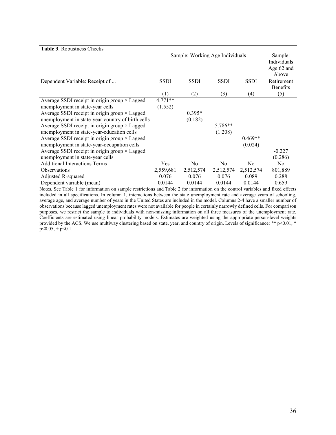| Table 3. Robustness Checks                                                                                                                                                                                                                                                                                                                                                                                                                                                                       |                                 |                     |                    |                      |                                               |
|--------------------------------------------------------------------------------------------------------------------------------------------------------------------------------------------------------------------------------------------------------------------------------------------------------------------------------------------------------------------------------------------------------------------------------------------------------------------------------------------------|---------------------------------|---------------------|--------------------|----------------------|-----------------------------------------------|
|                                                                                                                                                                                                                                                                                                                                                                                                                                                                                                  | Sample: Working Age Individuals |                     |                    |                      | Sample:<br>Individuals<br>Age 62 and<br>Above |
| Dependent Variable: Receipt of                                                                                                                                                                                                                                                                                                                                                                                                                                                                   | <b>SSDI</b>                     | <b>SSDI</b>         | <b>SSDI</b>        | <b>SSDI</b>          | Retirement<br>Benefits                        |
|                                                                                                                                                                                                                                                                                                                                                                                                                                                                                                  | (1)                             | (2)                 | (3)                | (4)                  | (5)                                           |
| Average SSDI receipt in origin group × Lagged<br>unemployment in state-year cells<br>Average SSDI receipt in origin group $\times$ Lagged<br>unemployment in state-year-country of birth cells<br>Average SSDI receipt in origin group $\times$ Lagged<br>unemployment in state-year-education cells<br>Average SSDI receipt in origin group $\times$ Lagged<br>unemployment in state-year-occupation cells<br>Average SSDI receipt in origin group × Lagged<br>unemployment in state-year cells | $4.771**$<br>(1.552)            | $0.395*$<br>(0.182) | 5.786**<br>(1.208) | $0.469**$<br>(0.024) | $-0.227$<br>(0.286)                           |
| <b>Additional Interactions Terms</b>                                                                                                                                                                                                                                                                                                                                                                                                                                                             | <b>Yes</b>                      | N <sub>0</sub>      | N <sub>0</sub>     | N <sub>0</sub>       | N <sub>0</sub>                                |
| Observations                                                                                                                                                                                                                                                                                                                                                                                                                                                                                     | 2,559,681                       | 2,512,574           | 2,512,574          | 2,512,574            | 801,889                                       |
| Adjusted R-squared                                                                                                                                                                                                                                                                                                                                                                                                                                                                               | 0.076                           | 0.076               | 0.076              | 0.089                | 0.288                                         |
| Dependent variable (mean)                                                                                                                                                                                                                                                                                                                                                                                                                                                                        | 0.0144                          | 0.0144              | 0.0144             | 0.0144               | 0.659                                         |

Notes. See Table 1 for information on sample restrictions and Table 2 for information on the control variables and fixed effects included in all specifications. In column 1, interactions between the state unemployment rate and average years of schooling, average age, and average number of years in the United States are included in the model. Columns 2-4 have a smaller number of observations because lagged unemployment rates were not available for people in certainly narrowly defined cells. For comparison purposes, we restrict the sample to individuals with non-missing information on all three measures of the unemployment rate. Coefficients are estimated using linear probability models. Estimates are weighted using the appropriate person-level weights provided by the ACS. We use multiway clustering based on state, year, and country of origin. Levels of significance: \*\* p<0.01, \*  $p<0.05$ , +  $p<0.1$ .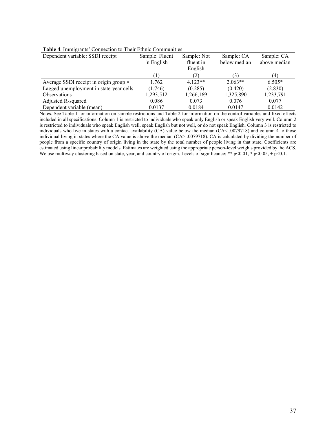| Table 4. Immigrants' Connection to Their Ethnic Communities |                |             |              |              |  |  |
|-------------------------------------------------------------|----------------|-------------|--------------|--------------|--|--|
| Dependent variable: SSDI receipt                            | Sample: Fluent | Sample: Not | Sample: CA   | Sample: CA   |  |  |
|                                                             | in English     | fluent in   | below median | above median |  |  |
|                                                             |                | English     |              |              |  |  |
|                                                             |                | (2)         | 3)           | (4)          |  |  |
| Average SSDI receipt in origin group ×                      | 1.762          | $4.123**$   | $2.063**$    | $6.505*$     |  |  |
| Lagged unemployment in state-year cells                     | (1.746)        | (0.285)     | (0.420)      | (2.830)      |  |  |
| <b>Observations</b>                                         | 1,293,512      | 1,266,169   | 1,325,890    | 1,233,791    |  |  |
| Adjusted R-squared                                          | 0.086          | 0.073       | 0.076        | 0.077        |  |  |
| Dependent variable (mean)                                   | 0.0137         | 0.0184      | 0.0147       | 0.0142       |  |  |

Notes. See Table 1 for information on sample restrictions and Table 2 for information on the control variables and fixed effects included in all specifications. Column 1 is restricted to individuals who speak only English or speak English very well. Column 2 is restricted to individuals who speak English well, speak English but not well, or do not speak English. Column 3 is restricted to individuals who live in states with a contact availability (CA) value below the median (CA< .0079718) and column 4 to those individual living in states where the CA value is above the median (CA> .0079718). CA is calculated by dividing the number of people from a specific country of origin living in the state by the total number of people living in that state. Coefficients are estimated using linear probability models. Estimates are weighted using the appropriate person-level weights provided by the ACS. We use multiway clustering based on state, year, and country of origin. Levels of significance: \*\* p<0.01, \* p<0.05, + p<0.1.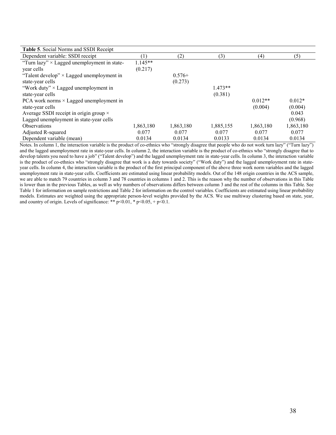| Table 5. Social Norms and SSDI Receipt             |                  |           |           |           |           |
|----------------------------------------------------|------------------|-----------|-----------|-----------|-----------|
| Dependent variable: SSDI receipt                   | $\left(1\right)$ | (2)       | (3)       | (4)       | (5)       |
| "Turn lazy" $\times$ Lagged unemployment in state- | $1.145**$        |           |           |           |           |
| year cells                                         | (0.217)          |           |           |           |           |
| "Talent develop" $\times$ Lagged unemployment in   |                  | $0.576+$  |           |           |           |
| state-year cells                                   |                  | (0.273)   |           |           |           |
| "Work duty" $\times$ Lagged unemployment in        |                  |           | $1.473**$ |           |           |
| state-year cells                                   |                  |           | (0.381)   |           |           |
| PCA work norms $\times$ Lagged unemployment in     |                  |           |           | $0.012**$ | $0.012*$  |
| state-year cells                                   |                  |           |           | (0.004)   | (0.004)   |
| Average SSDI receipt in origin group $\times$      |                  |           |           |           | 0.043     |
| Lagged unemployment in state-year cells            |                  |           |           |           | (0.968)   |
| <b>Observations</b>                                | 1,863,180        | 1,863,180 | 1,885,155 | 1,863,180 | 1,863,180 |
| Adjusted R-squared                                 | 0.077            | 0.077     | 0.077     | 0.077     | 0.077     |
| Dependent variable (mean)                          | 0.0134           | 0.0134    | 0.0133    | 0.0134    | 0.0134    |

Notes. In column 1, the interaction variable is the product of co-ethnics who "strongly disagree that people who do not work turn lazy" ("Turn lazy") and the lagged unemployment rate in state-year cells. In column 2, the interaction variable is the product of co-ethnics who "strongly disagree that to develop talents you need to have a job" ("Talent develop") and the lagged unemployment rate in state-year cells. In column 3, the interaction variable is the product of co-ethnics who "strongly disagree that work is a duty towards society" ("Work duty") and the lagged unemployment rate in stateyear cells. In column 4, the interaction variable is the product of the first principal component of the above three work norm variables and the lagged unemployment rate in state-year cells. Coefficients are estimated using linear probability models. Out of the 148 origin countries in the ACS sample, we are able to match 79 countries in column 3 and 78 countries in columns 1 and 2. This is the reason why the number of observations in this Table is lower than in the previous Tables, as well as why numbers of observations differs between column 3 and the rest of the columns in this Table. See Table 1 for information on sample restrictions and Table 2 for information on the control variables. Coefficients are estimated using linear probability models. Estimates are weighted using the appropriate person-level weights provided by the ACS. We use multiway clustering based on state, year, and country of origin. Levels of significance: \*\*  $p<0.01$ , \*  $p<0.05$ , +  $p<0.1$ .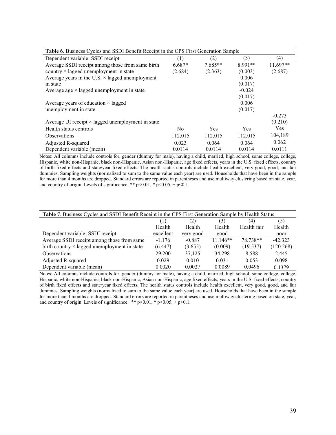| Table 6. Business Cycles and SSDI Benefit Receipt in the CPS First Generation Sample |                |           |            |            |  |
|--------------------------------------------------------------------------------------|----------------|-----------|------------|------------|--|
| Dependent variable: SSDI receipt                                                     | (1)            | (2)       | (3)        | (4)        |  |
| Average SSDI receipt among those from same birth                                     | $6.687*$       | $7.685**$ | 8.991**    | $11.697**$ |  |
| country $\times$ lagged unemployment in state                                        | (2.684)        | (2.363)   | (0.003)    | (2.687)    |  |
| Average years in the U.S. $\times$ lagged unemployment                               |                |           | 0.006      |            |  |
| in state                                                                             |                |           | (0.017)    |            |  |
| Average age $\times$ lagged unemployment in state                                    |                |           | $-0.024$   |            |  |
|                                                                                      |                |           | (0.017)    |            |  |
| Average years of education $\times$ lagged                                           |                |           | 0.006      |            |  |
| unemployment in state                                                                |                |           | (0.017)    |            |  |
|                                                                                      |                |           |            | $-0.273$   |  |
| Average UI receipt $\times$ lagged unemployment in state                             |                |           |            | (0.210)    |  |
| Health status controls                                                               | N <sub>0</sub> | Yes       | <b>Yes</b> | <b>Yes</b> |  |
| <b>Observations</b>                                                                  | 112,015        | 112,015   | 112,015    | 104,189    |  |
| Adjusted R-squared                                                                   | 0.023          | 0.064     | 0.064      | 0.062      |  |
| Dependent variable (mean)                                                            | 0.0114         | 0.0114    | 0.0114     | 0.0111     |  |

 Notes: All columns include controls for, gender (dummy for male), having a child, married, high school, some college, college, Hispanic, white non-Hispanic, black non-Hispanic, Asian non-Hispanic, age fixed effects, years in the U.S. fixed effects, country of birth fixed effects and state/year fixed effects. The health status controls include health excellent, very good, good, and fair dummies. Sampling weights (normalized to sum to the same value each year) are used. Households that have been in the sample for more than 4 months are dropped. Standard errors are reported in parentheses and use multiway clustering based on state, year, and country of origin. Levels of significance: \*\* p<0.01, \* p<0.05, + p<0.1.

| Table 7. Business Cycles and SSDI Benefit Receipt in the CPS First Generation Sample by Health Status |           |           |            |             |           |  |
|-------------------------------------------------------------------------------------------------------|-----------|-----------|------------|-------------|-----------|--|
|                                                                                                       |           | (2)       | (3)        | (4)         | (5)       |  |
|                                                                                                       | Health    | Health    | Health     | Health fair | Health    |  |
| Dependent variable: SSDI receipt                                                                      | excellent | very good | good       |             | poor      |  |
| Average SSDI receipt among those from same                                                            | $-1.176$  | $-0.887$  | $11.146**$ | 78.738**    | $-42.323$ |  |
| birth country $\times$ lagged unemployment in state                                                   | (6.447)   | (3.655)   | (0.009)    | (19.537)    | (120.268) |  |
| <b>Observations</b>                                                                                   | 29,200    | 37,125    | 34,298     | 8,588       | 2,445     |  |
| Adjusted R-squared                                                                                    | 0.029     | 0.010     | 0.031      | 0.053       | 0.098     |  |
| Dependent variable (mean)                                                                             | 0.0020    | 0.0027    | 0.0089     | 0.0496      | 0.1379    |  |

Notes: All columns include controls for, gender (dummy for male), having a child, married, high school, some college, college, Hispanic, white non-Hispanic, black non-Hispanic, Asian non-Hispanic, age fixed effects, years in the U.S. fixed effects, country of birth fixed effects and state/year fixed effects. The health status controls include health excellent, very good, good, and fair dummies. Sampling weights (normalized to sum to the same value each year) are used. Households that have been in the sample for more than 4 months are dropped. Standard errors are reported in parentheses and use multiway clustering based on state, year, and country of origin. Levels of significance: \*\* p<0.01, \* p<0.05, + p<0.1.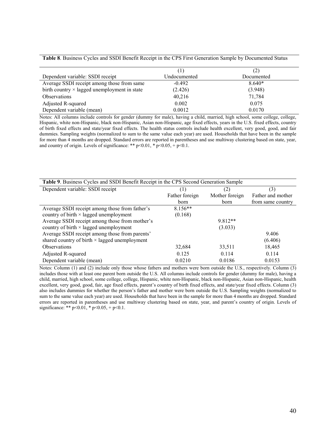**Table 8**. Business Cycles and SSDI Benefit Receipt in the CPS First Generation Sample by Documented Status

| Dependent variable: SSDI receipt                    | Undocumented | Documented |
|-----------------------------------------------------|--------------|------------|
| Average SSDI receipt among those from same          | $-0.492$     | $8.640*$   |
| birth country $\times$ lagged unemployment in state | (2.426)      | (3.948)    |
| <b>Observations</b>                                 | 40,216       | 71,784     |
| Adjusted R-squared                                  | 0.002        | 0.075      |
| Dependent variable (mean)                           | 0.0012       | 0.0170     |

Notes: All columns include controls for gender (dummy for male), having a child, married, high school, some college, college, Hispanic, white non-Hispanic, black non-Hispanic, Asian non-Hispanic, age fixed effects, years in the U.S. fixed effects, country of birth fixed effects and state/year fixed effects. The health status controls include health excellent, very good, good, and fair dummies. Sampling weights (normalized to sum to the same value each year) are used. Households that have been in the sample for more than 4 months are dropped. Standard errors are reported in parentheses and use multiway clustering based on state, year, and country of origin. Levels of significance: \*\*  $p<0.01$ , \*  $p<0.05$ , +  $p<0.1$ .

| Table 9. Business Cycles and SSDI Benefit Receipt in the CPS Second Generation Sample |                |                |                   |  |  |
|---------------------------------------------------------------------------------------|----------------|----------------|-------------------|--|--|
| Dependent variable: SSDI receipt                                                      | ( 1 )          | (2)            | (3)               |  |  |
|                                                                                       | Father foreign | Mother foreign | Father and mother |  |  |
|                                                                                       | born           | born           | from same country |  |  |
| Average SSDI receipt among those from father's                                        | $8.156**$      |                |                   |  |  |
| country of birth $\times$ lagged unemployment                                         | (0.168)        |                |                   |  |  |
| Average SSDI receipt among those from mother's                                        |                | $9.812**$      |                   |  |  |
| country of birth $\times$ lagged unemployment                                         |                | (3.033)        |                   |  |  |
| Average SSDI receipt among those from parents'                                        |                |                | 9.406             |  |  |
| shared country of birth $\times$ lagged unemployment                                  |                |                | (6.406)           |  |  |
| <b>Observations</b>                                                                   | 32,684         | 33,511         | 18,465            |  |  |
| Adjusted R-squared                                                                    | 0.125          | 0.114          | 0.114             |  |  |
| Dependent variable (mean)                                                             | 0.0210         | 0.0186         | 0.0153            |  |  |

Notes: Column (1) and (2) include only those whose fathers and mothers were born outside the U.S., respectively. Column (3) includes those with at least one parent born outside the U.S. All columns include controls for gender (dummy for male), having a child, married, high school, some college, college, Hispanic, white non-Hispanic, black non-Hispanic, Asian non-Hispanic, health excellent, very good, good, fair, age fixed effects, parent's country of birth fixed effects, and state/year fixed effects. Column (3) also includes dummies for whether the person's father and mother were born outside the U.S. Sampling weights (normalized to sum to the same value each year) are used. Households that have been in the sample for more than 4 months are dropped. Standard errors are reported in parentheses and use multiway clustering based on state, year, and parent's country of origin. Levels of significance: \*\*  $p<0.01$ , \*  $p<0.05$ , +  $p<0.1$ .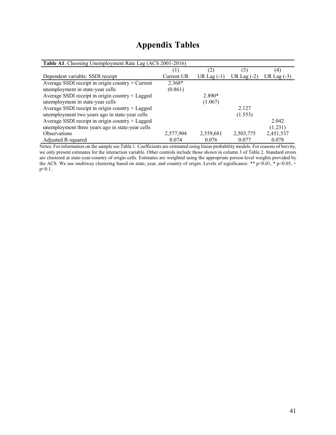| Table A1. Choosing Unemployment Rate Lag (ACS 2001-2016) |            |               |               |               |  |
|----------------------------------------------------------|------------|---------------|---------------|---------------|--|
|                                                          | (1)        | (2)           | (3)           | (4)           |  |
| Dependent variable: SSDI receipt                         | Current UR | UR Lag $(-1)$ | UR Lag $(-2)$ | UR Lag $(-3)$ |  |
| Average SSDI receipt in origin country $\times$ Current  | $2.368*$   |               |               |               |  |
| unemployment in state-year cells                         | (0.861)    |               |               |               |  |
| Average SSDI receipt in origin country $\times$ Lagged   |            | $2.890*$      |               |               |  |
| unemployment in state-year cells                         |            | (1.067)       |               |               |  |
| Average SSDI receipt in origin country $\times$ Lagged   |            |               | 2.127         |               |  |
| unemployment two years ago in state-year cells           |            |               | (1.553)       |               |  |
| Average SSDI receipt in origin country × Lagged          |            |               |               | 2.042         |  |
| unemployment three years ago in state-year cells         |            |               |               | (1.231)       |  |
| <b>Observations</b>                                      | 2,577,904  | 2,559,681     | 2,503,775     | 2,451,537     |  |
| Adjusted R-squared                                       | 0.074      | 0.076         | 0.077         | 0.078         |  |

# **Appendix Tables**

Notes. For information on the sample see Table 1. Coefficients are estimated using linear probability models. For reasons of brevity, we only present estimates for the interaction variable. Other controls include those shown in column 3 of Table 2. Standard errors are clustered at state-year-country of origin cells. Estimates are weighted using the appropriate person-level weights provided by the ACS. We use multiway clustering based on state, year, and country of origin. Levels of significance: \*\* p<0.01, \* p<0.05, + p<0.1.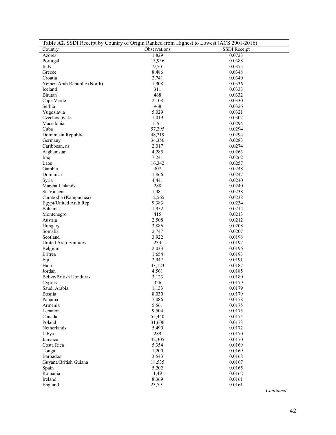| Table A2. SSDI Receipt by Country of Origin Ranked from Highest to Lowest (ACS 2001-2016) |                |                  |  |  |  |  |
|-------------------------------------------------------------------------------------------|----------------|------------------|--|--|--|--|
| Country                                                                                   | Observations   | SSDI Receipt     |  |  |  |  |
| Azores                                                                                    | 1,829          | 0.0723           |  |  |  |  |
| Portugal                                                                                  | 13,936         | 0.0388           |  |  |  |  |
| Italy                                                                                     | 19,701         | 0.0375           |  |  |  |  |
| Greece                                                                                    | 8,486          | 0.0348           |  |  |  |  |
| Croatia                                                                                   | 2,741          | 0.0340           |  |  |  |  |
| Yemen Arab Republic (North)                                                               | 1,908          | 0.0336           |  |  |  |  |
| Iceland                                                                                   | 311            | 0.0333           |  |  |  |  |
| Bhutan                                                                                    | 468            | 0.0332           |  |  |  |  |
| Cape Verde                                                                                | 2,108          | 0.0330           |  |  |  |  |
| Serbia                                                                                    | 968            | 0.0326           |  |  |  |  |
| Yugoslavia                                                                                | 5,029          | 0.0321           |  |  |  |  |
| Czechoslovakia                                                                            | 1,019          | 0.0302           |  |  |  |  |
| Macedonia                                                                                 | 1,761          | 0.0294           |  |  |  |  |
| Cuba                                                                                      | 57,295         | 0.0294           |  |  |  |  |
| Dominican Republic                                                                        | 48,219         | 0.0294           |  |  |  |  |
| Germany                                                                                   | 34,356         | 0.0283           |  |  |  |  |
| Caribbean, ns                                                                             | 2,017          | 0.0274           |  |  |  |  |
| Afghanistan                                                                               | 4,285          | 0.0263           |  |  |  |  |
| Iraq                                                                                      | 7,241          | 0.0262           |  |  |  |  |
| Laos                                                                                      | 16,342         | 0.0257           |  |  |  |  |
| Gambia                                                                                    | 307            | 0.0248           |  |  |  |  |
| Dominica                                                                                  | 1,866          | 0.0247           |  |  |  |  |
| Syria                                                                                     | 4,441          | 0.0240           |  |  |  |  |
| Marshall Islands                                                                          | 288            | 0.0240           |  |  |  |  |
| St. Vincent                                                                               | 1,481          | 0.0238           |  |  |  |  |
| Cambodia (Kampuchea)                                                                      | 12,565         | 0.0238           |  |  |  |  |
| Egypt/United Arab Rep.                                                                    | 9,383          | 0.0234           |  |  |  |  |
| Bahamas                                                                                   | 1,952          | 0.0214           |  |  |  |  |
| Montenegro                                                                                | 415            | 0.0213           |  |  |  |  |
| Austria                                                                                   | 2,508          | 0.0212           |  |  |  |  |
| Hungary<br>Somalia                                                                        | 3,886          | 0.0208           |  |  |  |  |
| Scotland                                                                                  | 2,747<br>3,922 | 0.0207<br>0.0198 |  |  |  |  |
| United Arab Emirates                                                                      | 234            | 0.0197           |  |  |  |  |
| Belgium                                                                                   | 2,033          | 0.0196           |  |  |  |  |
| Eritrea                                                                                   | 1,654          | 0.0193           |  |  |  |  |
| Fiji                                                                                      | 2,947          | 0.0191           |  |  |  |  |
| Haiti                                                                                     | 33,123         | 0.0187           |  |  |  |  |
| Jordan                                                                                    | 4,561          | 0.0185           |  |  |  |  |
| Belize/British Honduras                                                                   | 3,123          | 0.0180           |  |  |  |  |
| Cyprus                                                                                    | 326            | 0.0179           |  |  |  |  |
| Saudi Arabia                                                                              | 1,133          | 0.0179           |  |  |  |  |
| Bosnia                                                                                    | 8,030          | 0.0179           |  |  |  |  |
| Panama                                                                                    | 7,086          | 0.0178           |  |  |  |  |
| Armenia                                                                                   | 5,561          | 0.0175           |  |  |  |  |
| Lebanon                                                                                   | 9,504          | 0.0175           |  |  |  |  |
| Canada                                                                                    | 55,440         | 0.0174           |  |  |  |  |
| Poland                                                                                    | 31,606         | 0.0173           |  |  |  |  |
| Netherlands                                                                               | 5,490          | 0.0172           |  |  |  |  |
| Libya                                                                                     | 289            | 0.0170           |  |  |  |  |
| Jamaica                                                                                   | 42,305         | 0.0170           |  |  |  |  |
| Costa Rica                                                                                | 5,354          | 0.0169           |  |  |  |  |
| Tonga                                                                                     | 1,200          | 0.0169           |  |  |  |  |
| Barbados                                                                                  | 3,543          | 0.0168           |  |  |  |  |
| Guyana/British Guiana                                                                     | 18,535         | 0.0167           |  |  |  |  |
| Spain                                                                                     | 5,202          | 0.0165           |  |  |  |  |
| Romania                                                                                   | 11,491         | 0.0162           |  |  |  |  |
| Ireland                                                                                   | 8,369          | 0.0161           |  |  |  |  |
| England                                                                                   | 23,791         | 0.0161           |  |  |  |  |
|                                                                                           |                | Continued        |  |  |  |  |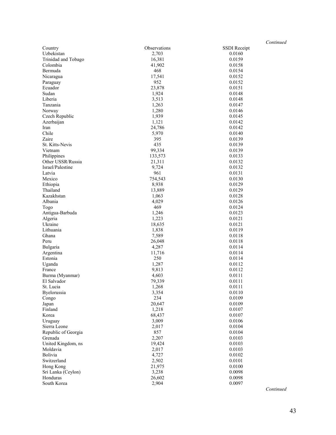|                     |              | $\cup$ uu    |
|---------------------|--------------|--------------|
| Country             | Observations | SSDI Receipt |
| Uzbekistan          | 2,703        | 0.0160       |
| Trinidad and Tobago | 16,381       | 0.0159       |
| Colombia            | 41,902       | 0.0158       |
| Bermuda             | 468          | 0.0154       |
| Nicaragua           | 17,541       | 0.0152       |
| Paraguay            | 952          | 0.0152       |
| Ecuador             | 23,878       | 0.0151       |
| Sudan               | 1,924        | 0.0148       |
| Liberia             | 3,513        | 0.0148       |
| Tanzania            | 1,263        | 0.0147       |
| Norway              | 1,280        | 0.0146       |
| Czech Republic      | 1,939        | 0.0145       |
| Azerbaijan          | 1,121        | 0.0142       |
| Iran                | 24,786       | 0.0142       |
| Chile               | 5,970        | 0.0140       |
| Zaire               | 395          | 0.0139       |
| St. Kitts-Nevis     | 435          | 0.0139       |
| Vietnam             | 99,334       | 0.0139       |
| Philippines         | 133,573      | 0.0133       |
| Other USSR/Russia   | 21,311       | 0.0132       |
| Israel/Palestine    | 9,724        | 0.0132       |
| Latvia              | 961          | 0.0131       |
| Mexico              | 754,543      | 0.0130       |
| Ethiopia            | 8,938        | 0.0129       |
| Thailand            | 13,889       | 0.0129       |
| Kazakhstan          | 1,063        | 0.0128       |
| Albania             | 4,029        | 0.0126       |
| Togo                | 469          | 0.0124       |
| Antigua-Barbuda     | 1,246        | 0.0123       |
| Algeria             | 1,223        | 0.0121       |
| Ukraine             | 18,635       | 0.0121       |
| Lithuania           | 1,838        | 0.0119       |
| Ghana               | 7,589        | 0.0118       |
| Peru                | 26,048       | 0.0118       |
| Bulgaria            | 4,287        | 0.0114       |
| Argentina           | 11,716       | 0.0114       |
| Estonia             | 250          | 0.0114       |
| Uganda              | 1,287        | 0.0112       |
| France              | 9,813        | 0.0112       |
| Burma (Myanmar)     | 4,603        | 0.0111       |
| El Salvador         | 79,339       | 0.0111       |
| St. Lucia           | 1,268        | 0.0111       |
| Byelorussia         | 3,354        | 0.0110       |
| Congo               | 234          | 0.0109       |
| Japan               | 20,647       | 0.0109       |
| Finland             | 1,218        | 0.0107       |
| Korea               | 68,437       | 0.0107       |
| Uruguay             | 3,009        | 0.0106       |
| Sierra Leone        | 2,017        | 0.0104       |
| Republic of Georgia | 857          | 0.0104       |
| Grenada             | 2,207        | 0.0103       |
| United Kingdom, ns  | 19,424       | 0.0103       |
| Moldavia            | 2,017        | 0.0103       |
| Bolivia             | 4,727        | 0.0102       |
| Switzerland         | 2,502        | 0.0101       |
| Hong Kong           | 21,975       | 0.0100       |
| Sri Lanka (Ceylon)  | 3,238        | 0.0098       |
| Honduras            | 26,602       | 0.0098       |
| South Korea         | 2,904        | 0.0097       |
|                     |              |              |

*Continued*

*Continued*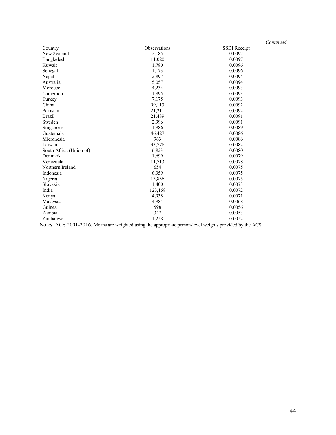|                                     |                                            | Continued                                            |
|-------------------------------------|--------------------------------------------|------------------------------------------------------|
| Country                             | Observations                               | SSDI Receipt                                         |
| New Zealand                         | 2,185                                      | 0.0097                                               |
| Bangladesh                          | 11,020                                     | 0.0097                                               |
| Kuwait                              | 1,780                                      | 0.0096                                               |
| Senegal                             | 1,173                                      | 0.0096                                               |
| Nepal                               | 2,897                                      | 0.0094                                               |
| Australia                           | 5,057                                      | 0.0094                                               |
| Morocco                             | 4,234                                      | 0.0093                                               |
| Cameroon                            | 1,895                                      | 0.0093                                               |
| Turkey                              | 7,175                                      | 0.0093                                               |
| China                               | 99,113                                     | 0.0092                                               |
| Pakistan                            | 21,211                                     | 0.0092                                               |
| <b>Brazil</b>                       | 21,489                                     | 0.0091                                               |
| Sweden                              | 2,996                                      | 0.0091                                               |
| Singapore                           | 1,986                                      | 0.0089                                               |
| Guatemala                           | 46,427                                     | 0.0086                                               |
| Micronesia                          | 963                                        | 0.0086                                               |
| Taiwan                              | 33,776                                     | 0.0082                                               |
| South Africa (Union of)             | 6,823                                      | 0.0080                                               |
| Denmark                             | 1,699                                      | 0.0079                                               |
| Venezuela                           | 11,713                                     | 0.0078                                               |
| Northern Ireland                    | 654                                        | 0.0075                                               |
| Indonesia                           | 6,359                                      | 0.0075                                               |
| Nigeria                             | 13,856                                     | 0.0075                                               |
| Slovakia                            | 1,400                                      | 0.0073                                               |
| India                               | 123,168                                    | 0.0072                                               |
| Kenya                               | 4,938                                      | 0.0071                                               |
| Malaysia                            | 4,984                                      | 0.0068                                               |
| Guinea                              | 598                                        | 0.0056                                               |
| Zambia                              | 347                                        | 0.0053                                               |
| Zimbabwe<br>10000010010<br>$\tau$ . | 1,258<br>$\cdot$ $\cdot$<br>$\overline{a}$ | 0.0052<br>$\ddot{\phantom{0}}$<br>$\cdots$<br>$\sim$ |

Notes. ACS 2001-2016. Means are weighted using the appropriate person-level weights provided by the ACS.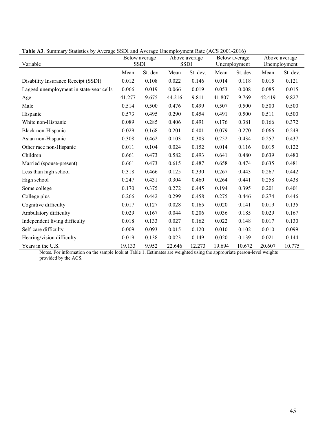| Table A3. Summary Statistics by Average SSDI and Average Unemployment Rate (ACS 2001-2016) |                                                              |          |               |          |               |          |              |          |
|--------------------------------------------------------------------------------------------|--------------------------------------------------------------|----------|---------------|----------|---------------|----------|--------------|----------|
|                                                                                            | Below average<br>Above average<br><b>SSDI</b><br><b>SSDI</b> |          | Below average |          | Above average |          |              |          |
| Variable                                                                                   |                                                              |          |               |          | Unemployment  |          | Unemployment |          |
|                                                                                            | Mean                                                         | St. dev. | Mean          | St. dev. | Mean          | St. dev. | Mean         | St. dev. |
| Disability Insurance Receipt (SSDI)                                                        | 0.012                                                        | 0.108    | 0.022         | 0.146    | 0.014         | 0.118    | 0.015        | 0.121    |
| Lagged unemployment in state-year cells                                                    | 0.066                                                        | 0.019    | 0.066         | 0.019    | 0.053         | 0.008    | 0.085        | 0.015    |
| Age                                                                                        | 41.277                                                       | 9.675    | 44.216        | 9.811    | 41.807        | 9.769    | 42.419       | 9.827    |
| Male                                                                                       | 0.514                                                        | 0.500    | 0.476         | 0.499    | 0.507         | 0.500    | 0.500        | 0.500    |
| Hispanic                                                                                   | 0.573                                                        | 0.495    | 0.290         | 0.454    | 0.491         | 0.500    | 0.511        | 0.500    |
| White non-Hispanic                                                                         | 0.089                                                        | 0.285    | 0.406         | 0.491    | 0.176         | 0.381    | 0.166        | 0.372    |
| Black non-Hispanic                                                                         | 0.029                                                        | 0.168    | 0.201         | 0.401    | 0.079         | 0.270    | 0.066        | 0.249    |
| Asian non-Hispanic                                                                         | 0.308                                                        | 0.462    | 0.103         | 0.303    | 0.252         | 0.434    | 0.257        | 0.437    |
| Other race non-Hispanic                                                                    | 0.011                                                        | 0.104    | 0.024         | 0.152    | 0.014         | 0.116    | 0.015        | 0.122    |
| Children                                                                                   | 0.661                                                        | 0.473    | 0.582         | 0.493    | 0.641         | 0.480    | 0.639        | 0.480    |
| Married (spouse-present)                                                                   | 0.661                                                        | 0.473    | 0.615         | 0.487    | 0.658         | 0.474    | 0.635        | 0.481    |
| Less than high school                                                                      | 0.318                                                        | 0.466    | 0.125         | 0.330    | 0.267         | 0.443    | 0.267        | 0.442    |
| High school                                                                                | 0.247                                                        | 0.431    | 0.304         | 0.460    | 0.264         | 0.441    | 0.258        | 0.438    |
| Some college                                                                               | 0.170                                                        | 0.375    | 0.272         | 0.445    | 0.194         | 0.395    | 0.201        | 0.401    |
| College plus                                                                               | 0.266                                                        | 0.442    | 0.299         | 0.458    | 0.275         | 0.446    | 0.274        | 0.446    |
| Cognitive difficulty                                                                       | 0.017                                                        | 0.127    | 0.028         | 0.165    | 0.020         | 0.141    | 0.019        | 0.135    |
| Ambulatory difficulty                                                                      | 0.029                                                        | 0.167    | 0.044         | 0.206    | 0.036         | 0.185    | 0.029        | 0.167    |
| Independent living difficulty                                                              | 0.018                                                        | 0.133    | 0.027         | 0.162    | 0.022         | 0.148    | 0.017        | 0.130    |
| Self-care difficulty                                                                       | 0.009                                                        | 0.093    | 0.015         | 0.120    | 0.010         | 0.102    | 0.010        | 0.099    |
| Hearing/vision difficulty                                                                  | 0.019                                                        | 0.138    | 0.023         | 0.149    | 0.020         | 0.139    | 0.021        | 0.144    |
| Years in the U.S.                                                                          | 19.133                                                       | 9.952    | 22.646        | 12.273   | 19.694        | 10.672   | 20.607       | 10.775   |

Notes. For information on the sample look at Table 1. Estimates are weighted using the appropriate person-level weights provided by the ACS.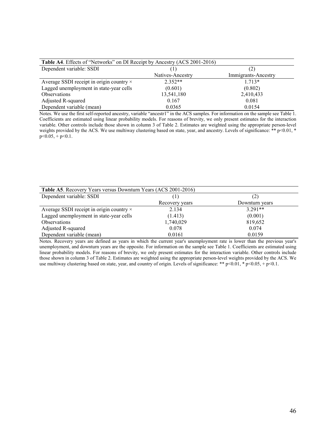| Table A4. Effects of "Networks" on DI Receipt by Ancestry (ACS 2001-2016) |                  |                     |  |  |
|---------------------------------------------------------------------------|------------------|---------------------|--|--|
| Dependent variable: SSDI                                                  |                  | (2)                 |  |  |
|                                                                           | Natives-Ancestry | Immigrants-Ancestry |  |  |
| Average SSDI receipt in origin country ×                                  | $2.352**$        | $1.713*$            |  |  |
| Lagged unemployment in state-year cells                                   | (0.601)          | (0.802)             |  |  |
| Observations                                                              | 13,541,180       | 2,410,433           |  |  |
| Adjusted R-squared                                                        | 0.167            | 0.081               |  |  |
| Dependent variable (mean)                                                 | 0.0365           | 0.0154              |  |  |

Notes. We use the first self-reported ancestry, variable "ancestr1" in the ACS samples. For information on the sample see Table 1. Coefficients are estimated using linear probability models. For reasons of brevity, we only present estimates for the interaction variable. Other controls include those shown in column 3 of Table 2. Estimates are weighted using the appropriate person-level weights provided by the ACS. We use multiway clustering based on state, year, and ancestry. Levels of significance: \*\* p<0.01, \*  $p < 0.05$ , +  $p < 0.1$ .

| Table A5. Recovery Years versus Downturn Years (ACS 2001-2016) |                |                |  |  |
|----------------------------------------------------------------|----------------|----------------|--|--|
| Dependent variable: SSDI                                       |                | (2)            |  |  |
|                                                                | Recovery years | Downturn years |  |  |
| Average SSDI receipt in origin country $\times$                | 2.134          | $3.291**$      |  |  |
| Lagged unemployment in state-year cells                        | (1.413)        | (0.001)        |  |  |
| Observations                                                   | 1,740,029      | 819,652        |  |  |
| Adjusted R-squared                                             | 0.078          | 0.074          |  |  |
| Dependent variable (mean)                                      | 0.0161         | 0.0159         |  |  |

Notes. Recovery years are defined as years in which the current year's unemployment rate is lower than the previous year's unemployment, and downturn years are the opposite. For information on the sample see Table 1. Coefficients are estimated using linear probability models. For reasons of brevity, we only present estimates for the interaction variable. Other controls include those shown in column 3 of Table 2. Estimates are weighted using the appropriate person-level weights provided by the ACS. We use multiway clustering based on state, year, and country of origin. Levels of significance: \*\*  $p<0.01$ , \*  $p<0.05$ , +  $p<0.1$ .